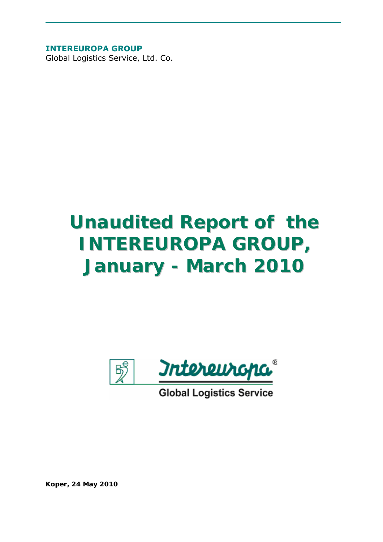**INTEREUROPA GROUP** 

Global Logistics Service, Ltd. Co.

# *Unaudited Report of the INTEREUROPA GROUP, January - March 2010*



**Global Logistics Service** 

*Koper, 24 May 2010*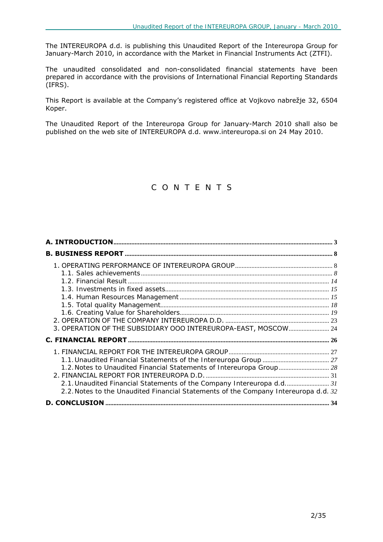The INTEREUROPA d.d. is publishing this Unaudited Report of the Intereuropa Group for January-March 2010, in accordance with the Market in Financial Instruments Act (ZTFI).

The unaudited consolidated and non-consolidated financial statements have been prepared in accordance with the provisions of International Financial Reporting Standards (IFRS).

This Report is available at the Company's registered office at Vojkovo nabrežje 32, 6504 Koper.

The Unaudited Report of the Intereuropa Group for January-March 2010 shall also be published on the web site of INTEREUROPA d.d. www.intereuropa.si on 24 May 2010.

### *C O N T E N T S*

| 3. OPERATION OF THE SUBSIDIARY OOO INTEREUROPA-EAST, MOSCOW 24                      |  |
|-------------------------------------------------------------------------------------|--|
|                                                                                     |  |
|                                                                                     |  |
|                                                                                     |  |
| 1.2. Notes to Unaudited Financial Statements of Intereuropa Group 28                |  |
|                                                                                     |  |
| 2.1. Unaudited Financial Statements of the Company Intereuropa d.d 31               |  |
| 2.2. Notes to the Unaudited Financial Statements of the Company Intereuropa d.d. 32 |  |
|                                                                                     |  |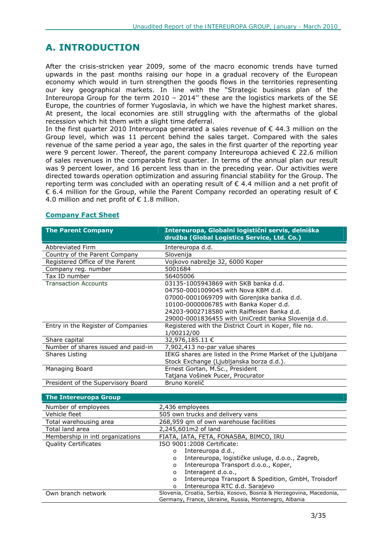# **A. INTRODUCTION**

After the crisis-stricken year 2009, some of the macro economic trends have turned upwards in the past months raising our hope in a gradual recovery of the European economy which would in turn strengthen the goods flows in the territories representing our key geographical markets. In line with the "Strategic business plan of the Intereuropa Group for the term 2010 – 2014'' these are the logistics markets of the SE Europe, the countries of former Yugoslavia, in which we have the highest market shares. At present, the local economies are still struggling with the aftermaths of the global recession which hit them with a slight time deferral.

In the first quarter 2010 Intereuropa generated a sales revenue of  $\epsilon$  44.3 million on the Group level, which was 11 percent behind the sales target. Compared with the sales revenue of the same period a year ago, the sales in the first quarter of the reporting year were 9 percent lower. Thereof, the parent company Intereuropa achieved  $\epsilon$  22.6 million of sales revenues in the comparable first quarter. In terms of the annual plan our result was 9 percent lower, and 16 percent less than in the preceding year. Our activities were directed towards operation optimization and assuring financial stability for the Group. The reporting term was concluded with an operating result of  $\epsilon$  4.4 million and a net profit of  $\epsilon$  6.4 million for the Group, while the Parent Company recorded an operating result of  $\epsilon$ 4.0 million and net profit of  $\epsilon$  1.8 million.

| <b>The Parent Company</b>           | Intereuropa, Globalni logistični servis, delniška<br>družba (Global Logistics Service, Ltd. Co.) |
|-------------------------------------|--------------------------------------------------------------------------------------------------|
| Abbreviated Firm                    | Intereuropa d.d.                                                                                 |
| Country of the Parent Company       | Slovenija                                                                                        |
| Registered Office of the Parent     | Vojkovo nabrežje 32, 6000 Koper                                                                  |
| Company reg. number                 | 5001684                                                                                          |
| Tax ID number                       | 56405006                                                                                         |
| <b>Transaction Accounts</b>         | 03135-1005943869 with SKB banka d.d.                                                             |
|                                     | 04750-0001009045 with Nova KBM d.d.                                                              |
|                                     | 07000-0001069709 with Gorenjska banka d.d.                                                       |
|                                     | 10100-0000006785 with Banka Koper d.d.                                                           |
|                                     | 24203-9002718580 with Raiffeisen Banka d.d.                                                      |
|                                     | 29000-0001836455 with UniCredit banka Slovenija d.d.                                             |
| Entry in the Register of Companies  | Registered with the District Court in Koper, file no.                                            |
| Share capital                       | 1/00212/00<br>32,976,185.11 €                                                                    |
|                                     |                                                                                                  |
| Number of shares issued and paid-in | 7,902,413 no-par value shares                                                                    |
| Shares Listing                      | IEKG shares are listed in the Prime Market of the Ljubljana                                      |
|                                     | Stock Exchange (Ljubljanska borza d.d.).                                                         |
| Managing Board                      | Ernest Gortan, M.Sc., President                                                                  |
|                                     | Tatjana Vošinek Pucer, Procurator                                                                |
| President of the Supervisory Board  | Bruno Korelič                                                                                    |

### **Company Fact Sheet**

| <b>The Intereuropa Group</b>     |                                                                     |
|----------------------------------|---------------------------------------------------------------------|
| Number of employees              | 2,436 employees                                                     |
| Vehicle fleet                    | 505 own trucks and delivery vans                                    |
| Total warehousing area           | 268,959 qm of own warehouse facilities                              |
| Total land area                  | 2,245,601m2 of land                                                 |
| Membership in intl organizations | FIATA, IATA, FETA, FONASBA, BIMCO, IRU                              |
| <b>Quality Certificates</b>      | ISO 9001:2008 Certificate:                                          |
|                                  | Intereuropa d.d.,<br>$\circ$                                        |
|                                  | Intereuropa, logističke usluge, d.o.o., Zagreb,<br>O                |
|                                  | Intereuropa Transport d.o.o., Koper,<br>O                           |
|                                  | Interagent d.o.o.,<br>O                                             |
|                                  | Intereuropa Transport & Spedition, GmbH, Troisdorf<br>O             |
|                                  | Intereuropa RTC d.d. Sarajevo<br>$\circ$                            |
| Own branch network               | Slovenia, Croatia, Serbia, Kosovo, Bosnia & Herzegovina, Macedonia, |
|                                  | Germany, France, Ukraine, Russia, Montenegro, Albania               |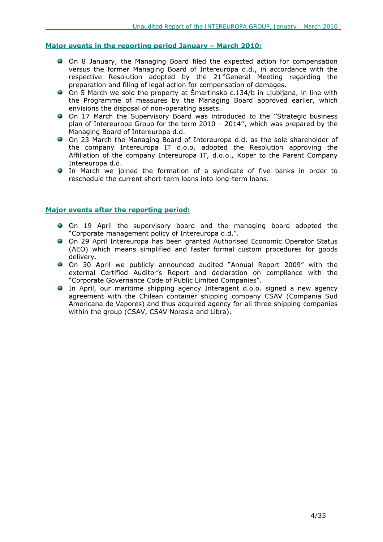### **Major events in the reporting period January – March 2010:**

- On 8 January, the Managing Board filed the expected action for compensation versus the former Managing Board of Intereuropa d.d., in accordance with the respective Resolution adopted by the 21<sup>st</sup>General Meeting regarding the preparation and filing of legal action for compensation of damages.
- On 5 March we sold the property at Šmartinska c.134/b in Ljubljana, in line with the Programme of measures by the Managing Board approved earlier, which envisions the disposal of non-operating assets.
- On 17 March the Supervisory Board was introduced to the ''Strategic business plan of Intereuropa Group for the term 2010 – 2014'', which was prepared by the Managing Board of Intereuropa d.d.
- On 23 March the Managing Board of Intereuropa d.d. as the sole shareholder of the company Intereuropa IT d.o.o. adopted the Resolution approving the Affiliation of the company Intereuropa IT, d.o.o., Koper to the Parent Company Intereuropa d.d.
- In March we joined the formation of a syndicate of five banks in order to reschedule the current short-term loans into long-term loans.

### **Major events after the reporting period:**

- On 19 April the supervisory board and the managing board adopted the "Corporate management policy of Intereuropa d.d.".
- On 29 April Intereuropa has been granted Authorised Economic Operator Status (AEO) which means simplified and faster formal custom procedures for goods delivery.
- On 30 April we publicly announced audited "Annual Report 2009" with the external Certified Auditor's Report and declaration on compliance with the "Corporate Governance Code of Public Limited Companies".
- In April, our maritime shipping agency Interagent d.o.o. signed a new agency agreement with the Chilean container shipping company CSAV (Compania Sud Americana de Vapores) and thus acquired agency for all three shipping companies within the group (CSAV, CSAV Norasia and Libra).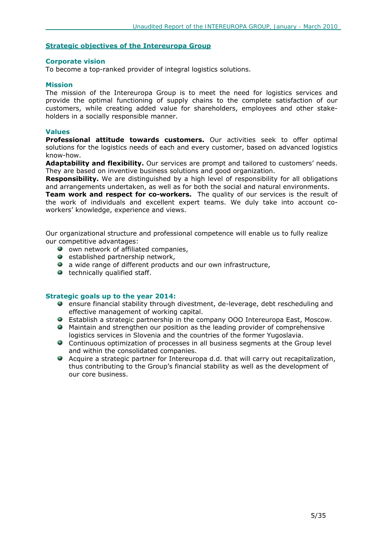### **Strategic objectives of the Intereuropa Group**

#### **Corporate vision**

To become a top-ranked provider of integral logistics solutions.

#### **Mission**

The mission of the Intereuropa Group is to meet the need for logistics services and provide the optimal functioning of supply chains to the complete satisfaction of our customers, while creating added value for shareholders, employees and other stakeholders in a socially responsible manner.

#### **Values**

**Professional attitude towards customers.** Our activities seek to offer optimal solutions for the logistics needs of each and every customer, based on advanced logistics know-how.

**Adaptability and flexibility.** Our services are prompt and tailored to customers' needs. They are based on inventive business solutions and good organization.

**Responsibility.** We are distinguished by a high level of responsibility for all obligations and arrangements undertaken, as well as for both the social and natural environments.

**Team work and respect for co-workers.** The quality of our services is the result of the work of individuals and excellent expert teams. We duly take into account coworkers' knowledge, experience and views.

Our organizational structure and professional competence will enable us to fully realize our competitive advantages:

- $\bullet$  own network of affiliated companies,
- $\bullet$  established partnership network,
- **a** a wide range of different products and our own infrastructure,
- $\bullet$  technically qualified staff.

#### **Strategic goals up to the year 2014:**

- ensure financial stability through divestment, de-leverage, debt rescheduling and effective management of working capital.
- Establish a strategic partnership in the company OOO Intereuropa East, Moscow.
- Maintain and strengthen our position as the leading provider of comprehensive logistics services in Slovenia and the countries of the former Yugoslavia.
- Continuous optimization of processes in all business segments at the Group level and within the consolidated companies.
- Acquire a strategic partner for Intereuropa d.d. that will carry out recapitalization, thus contributing to the Group's financial stability as well as the development of our core business.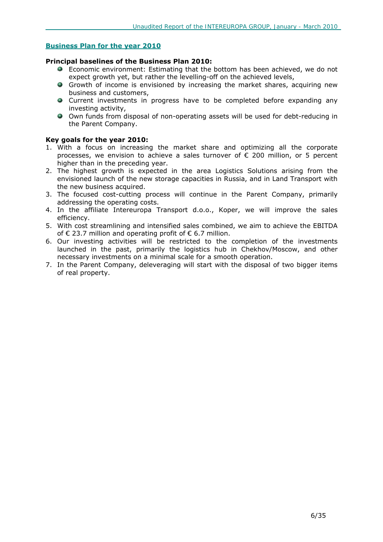### **Business Plan for the year 2010**

#### **Principal baselines of the Business Plan 2010:**

- Economic environment: Estimating that the bottom has been achieved, we do not expect growth yet, but rather the levelling-off on the achieved levels,
- Growth of income is envisioned by increasing the market shares, acquiring new business and customers,
- Current investments in progress have to be completed before expanding any investing activity,
- Own funds from disposal of non-operating assets will be used for debt-reducing in the Parent Company.

### **Key goals for the year 2010:**

- 1. With a focus on increasing the market share and optimizing all the corporate processes, we envision to achieve a sales turnover of  $\epsilon$  200 million, or 5 percent higher than in the preceding year.
- 2. The highest growth is expected in the area Logistics Solutions arising from the envisioned launch of the new storage capacities in Russia, and in Land Transport with the new business acquired.
- 3. The focused cost-cutting process will continue in the Parent Company, primarily addressing the operating costs.
- 4. In the affiliate Intereuropa Transport d.o.o., Koper, we will improve the sales efficiency.
- 5. With cost streamlining and intensified sales combined, we aim to achieve the EBITDA of  $\epsilon$  23.7 million and operating profit of  $\epsilon$  6.7 million.
- 6. Our investing activities will be restricted to the completion of the investments launched in the past, primarily the logistics hub in Chekhov/Moscow, and other necessary investments on a minimal scale for a smooth operation.
- 7. In the Parent Company, deleveraging will start with the disposal of two bigger items of real property.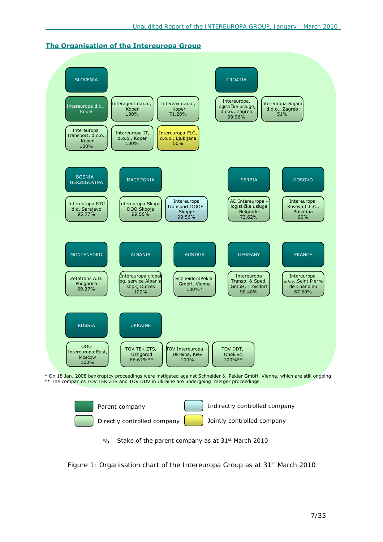





*Figure 1: Organisation chart of the Intereuropa Group as at 31st March 2010*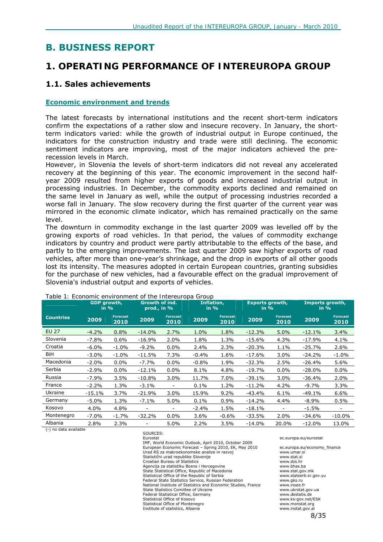# **B. BUSINESS REPORT**

# *1. OPERATING PERFORMANCE OF INTEREUROPA GROUP*

### **1.1. Sales achievements**

### **Economic environment and trends**

The latest forecasts by international institutions and the recent short-term indicators confirm the expectations of a rather slow and insecure recovery. In January, the shortterm indicators varied: while the growth of industrial output in Europe continued, the indicators for the construction industry and trade were still declining. The economic sentiment indicators are improving, most of the major indicators achieved the prerecession levels in March.

However, in Slovenia the levels of short-term indicators did not reveal any accelerated recovery at the beginning of this year. The economic improvement in the second halfyear 2009 resulted from higher exports of goods and increased industrial output in processing industries. In December, the commodity exports declined and remained on the same level in January as well, while the output of processing industries recorded a worse fall in January. The slow recovery during the first quarter of the current year was mirrored in the economic climate indicator, which has remained practically on the same level.

The downturn in commodity exchange in the last quarter 2009 was levelled off by the growing exports of road vehicles. In that period, the values of commodity exchange indicators by country and product were partly attributable to the effects of the base, and partly to the emerging improvements. The last quarter 2009 saw higher exports of road vehicles, after more than one-year's shrinkage, and the drop in exports of all other goods lost its intensity. The measures adopted in certain European countries, granting subsidies for the purchase of new vehicles, had a favourable effect on the gradual improvement of Slovenia's industrial output and exports of vehicles.

|                  |          | <b>Growth of ind.</b><br>Inflation,<br><b>GDP</b> growth,<br>prod., in %<br>in $%$<br>in $%$ |                          | <b>Exports growth,</b><br>in $%$ |         | Imports growth,<br>in $\%$ |          |                         |          |                         |
|------------------|----------|----------------------------------------------------------------------------------------------|--------------------------|----------------------------------|---------|----------------------------|----------|-------------------------|----------|-------------------------|
| <b>Countries</b> | 2009     | <b>Forecast</b><br>2010                                                                      | 2009                     | <b>Forecast</b><br>2010          | 2009    | <b>Forecast</b><br>2010    | 2009     | <b>Forecast</b><br>2010 | 2009     | <b>Forecast</b><br>2010 |
| <b>EU 27</b>     | $-4.2%$  | 0.8%                                                                                         | $-14.0%$                 | 2.7%                             | 1.0%    | 1.8%                       | $-12.3%$ | 5.0%                    | $-12.1%$ | 3.4%                    |
| Slovenia         | $-7.8%$  | 0.6%                                                                                         | $-16.9%$                 | 2.0%                             | 1.8%    | 1.3%                       | $-15.6%$ | 4.3%                    | $-17.9%$ | 4.1%                    |
| Croatia          | $-6.0%$  | $-1.0%$                                                                                      | $-9.2%$                  | $0.0\%$                          | 2.4%    | 2.3%                       | $-20.3%$ | 1.1%                    | $-25.7%$ | 2.6%                    |
| BiH              | $-3.0%$  | $-1.0%$                                                                                      | $-11.5%$                 | 7.3%                             | $-0.4%$ | 1.6%                       | $-17.6%$ | 3.0%                    | $-24.2%$ | $-1.0\%$                |
| Macedonia        | $-2.0%$  | $0.0\%$                                                                                      | $-7.7%$                  | 0.0%                             | $-0.8%$ | 1.9%                       | $-32.3%$ | 2.5%                    | $-26.4%$ | 5.6%                    |
| Serbia           | $-2.9%$  | $0.0\%$                                                                                      | $-12.1%$                 | $0.0\%$                          | $8.1\%$ | 4.8%                       | $-19.7%$ | $0.0\%$                 | $-28.0%$ | 0.0%                    |
| Russia           | $-7.9%$  | 3.5%                                                                                         | $-10.8%$                 | $3.0\%$                          | 11.7%   | 7.0%                       | $-39.1%$ | 3.0%                    | $-36.4%$ | 2.0%                    |
| France           | $-2.2%$  | 1.3%                                                                                         | $-3.1\%$                 |                                  | $0.1\%$ | 1.2%                       | $-11.2%$ | 4.2%                    | -9.7%    | 3.3%                    |
| Ukraine          | $-15.1%$ | 3.7%                                                                                         | $-21.9%$                 | 3.0%                             | 15.9%   | 9.2%                       | $-43.4%$ | 6.1%                    | $-49.1%$ | 6.6%                    |
| Germany          | $-5.0\%$ | 1.3%                                                                                         | -7.1%                    | 5.0%                             | $0.1\%$ | 0.9%                       | $-14.2%$ | 4.4%                    | -8.9%    | 0.5%                    |
| Kosovo           | 4.0%     | 4.8%                                                                                         | ٠                        | $\overline{\phantom{a}}$         | $-2.4%$ | 1.5%                       | $-18.1%$ |                         | $-1.5%$  | -                       |
| Montenegro       | $-7.0\%$ | $-1.7%$                                                                                      | $-32.2%$                 | $0.0\%$                          | 3.6%    | $-0.6\%$                   | $-33.5%$ | 2.0%                    | -34.6%   | $-10.0\%$               |
| Albania          | 2.8%     | 2.3%                                                                                         | $\overline{\phantom{0}}$ | 5.0%                             | 2.2%    | 3.5%                       | $-14.0%$ | 20.0%                   | $-12.0%$ | 13.0%                   |

### *Table 1: Economic environment of the Intereuropa Group*

(-) no data available

SOURCES: Eurostat ec.europa.eu/eurostat IMF, World Economic Outlook, April 2010, October 2009 European Economic Forecast – Spring 2010, EK, May 2010 ec.europa.eu/economy\_finance Urad RS za makroekonomske analize in razvoj www.umar.si Statistični urad republike Slovenije<br>Croatian Bureau of Statistics<br>Www.dzs.hr Croatian Bureau of Statistics www.dzs.hr Agencija za statistiku Bosne i Hercegovine<br>
State Statistical Office, Republic of Macedonia 
www.stat.gov.mk State Statistical Office, Republic of Macedonia Statistical Office of the Republic of Serbia www.statserb.sr.gov.yu<br>
Federal State Statistics Service. Russian Federation www.gks.ru Federal State Statistics Service, Russian Federation National Institute of Statistics and Economic Studies, France www.insee.fr<br>State Statistics Comittee of Ukraine www.ukrstat.gov.ua State Statistics Comittee of Ukraine www.ukrstat.gov.ukrstat.gov.ukrstat.gov.ukrstat.gov<br>Federal Statistical Office, Germany www.ukrstat.gov.ukrstat.gov Federal Statistical Office, Germany www.destatis.de Statistical Office of Kosovo www.ks-gov.net/ESK Statistical Office of Montenegro www.monstat.org Institute of statistics, Albania www.instat.gov.al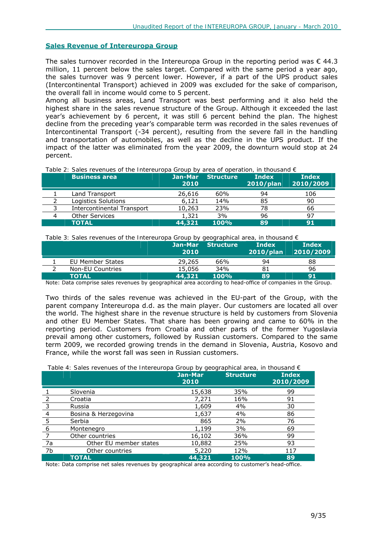### **Sales Revenue of Intereuropa Group**

The sales turnover recorded in the Intereuropa Group in the reporting period was  $\epsilon$  44.3 million, 11 percent below the sales target. Compared with the same period a year ago, the sales turnover was 9 percent lower. However, if a part of the UPS product sales (Intercontinental Transport) achieved in 2009 was excluded for the sake of comparison, the overall fall in income would come to 5 percent.

Among all business areas, Land Transport was best performing and it also held the highest share in the sales revenue structure of the Group. Although it exceeded the last year's achievement by 6 percent, it was still 6 percent behind the plan. The highest decline from the preceding year's comparable term was recorded in the sales revenues of Intercontinental Transport (-34 percent), resulting from the severe fall in the handling and transportation of automobiles, as well as the decline in the UPS product. If the impact of the latter was eliminated from the year 2009, the downturn would stop at 24 percent.

*Table 2: Sales revenues of the Intereuropa Group by area of operation, in thousand €* 

| Business area                     | Jan-Mar<br>2010 | <b>Structure</b> | <b>Index</b><br>$2010$ /plan | <b>Index</b><br>2010/2009 |
|-----------------------------------|-----------------|------------------|------------------------------|---------------------------|
| Land Transport                    | 26,616          | 60%              | 94                           | 106                       |
| Logistics Solutions               | 6,121           | 14%              | 85                           | 90                        |
| <b>Intercontinental Transport</b> | 10,263          | 23%              | 78                           | 66                        |
| <b>Other Services</b>             | 1,321           | 3%               | 96                           | 97                        |
| <b>TOTAL</b>                      | 44,321          | 100%             | 89                           | 91                        |

*Table 3: Sales revenues of the Intereuropa Group by geographical area, in thousand €* 

|                  | Jan-Mar<br>2010 | <b>Structure</b> | <b>Index</b><br>$2010$ /plan | Index<br>2010/2009 |
|------------------|-----------------|------------------|------------------------------|--------------------|
| EU Member States | 29,265          | 66%              | 94                           | 88                 |
| Non-EU Countries | 15,056          | 34%              |                              | 96                 |
| <b>TOTAL</b>     | 44,321          | 100%             | 89                           | 91                 |

Note: Data comprise sales revenues by geographical area according to head-office of companies in the Group.

Two thirds of the sales revenue was achieved in the EU-part of the Group, with the parent company Intereuropa d.d. as the main player. Our customers are located all over the world. The highest share in the revenue structure is held by customers from Slovenia and other EU Member States. That share has been growing and came to 60% in the reporting period. Customers from Croatia and other parts of the former Yugoslavia prevail among other customers, followed by Russian customers. Compared to the same term 2009, we recorded growing trends in the demand in Slovenia, Austria, Kosovo and France, while the worst fall was seen in Russian customers.

| Table 4: Sales revenues of the Intereuropa Group by geographical area, in thousand $\epsilon$ |
|-----------------------------------------------------------------------------------------------|
|-----------------------------------------------------------------------------------------------|

|    |                        | Jan-Mar<br>2010 | <b>Structure</b> | <b>Index</b><br>2010/2009 |
|----|------------------------|-----------------|------------------|---------------------------|
|    | Slovenia               | 15,638          | 35%              | 99                        |
|    | Croatia                | 7.271           | 16%              | 91                        |
| 3  | Russia                 | 1,609           | 4%               | 30                        |
| 4  | Bosina & Herzegovina   | 1,637           | 4%               | 86                        |
| 5  | Serbia                 | 865             | 2%               | 76                        |
| 6  | Montenegro             | 1,199           | 3%               | 69                        |
|    | Other countries        | 16,102          | 36%              | 99                        |
| 7a | Other EU member states | 10,882          | 25%              | 93                        |
| 7b | Other countries        | 5,220           | 12%              | 117                       |
|    | <b>TOTAL</b>           | 44,321          | 100%             | 89                        |

Note: Data comprise net sales revenues by geographical area according to customer's head-office.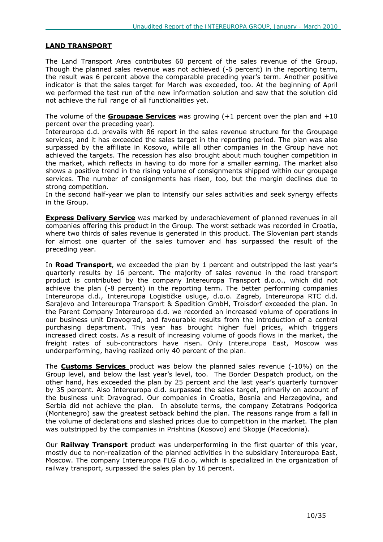### **LAND TRANSPORT**

The Land Transport Area contributes 60 percent of the sales revenue of the Group. Though the planned sales revenue was not achieved (-6 percent) in the reporting term, the result was 6 percent above the comparable preceding year's term. Another positive indicator is that the sales target for March was exceeded, too. At the beginning of April we performed the test run of the new information solution and saw that the solution did not achieve the full range of all functionalities yet.

The volume of the **Groupage Services** was growing (+1 percent over the plan and +10 percent over the preceding year).

Intereuropa d.d. prevails with 86 report in the sales revenue structure for the Groupage services, and it has exceeded the sales target in the reporting period. The plan was also surpassed by the affiliate in Kosovo, while all other companies in the Group have not achieved the targets. The recession has also brought about much tougher competition in the market, which reflects in having to do more for a smaller earning. The market also shows a positive trend in the rising volume of consignments shipped within our groupage services. The number of consignments has risen, too, but the margin declines due to strong competition.

In the second half-year we plan to intensify our sales activities and seek synergy effects in the Group.

**Express Delivery Service** was marked by underachievement of planned revenues in all companies offering this product in the Group. The worst setback was recorded in Croatia, where two thirds of sales revenue is generated in this product. The Slovenian part stands for almost one quarter of the sales turnover and has surpassed the result of the preceding year.

In **Road Transport**, we exceeded the plan by 1 percent and outstripped the last year's quarterly results by 16 percent. The majority of sales revenue in the road transport product is contributed by the company Intereuropa Transport d.o.o., which did not achieve the plan (-8 percent) in the reporting term. The better performing companies Intereuropa d.d., Intereuropa Logističke usluge, d.o.o. Zagreb, Intereuropa RTC d.d. Sarajevo and Intereuropa Transport & Spedition GmbH, Troisdorf exceeded the plan. In the Parent Company Intereuropa d.d. we recorded an increased volume of operations in our business unit Dravograd, and favourable results from the introduction of a central purchasing department. This year has brought higher fuel prices, which triggers increased direct costs. As a result of increasing volume of goods flows in the market, the freight rates of sub-contractors have risen. Only Intereuropa East, Moscow was underperforming, having realized only 40 percent of the plan.

The **Customs Services** product was below the planned sales revenue (-10%) on the Group level, and below the last year's level, too. The Border Despatch product, on the other hand, has exceeded the plan by 25 percent and the last year's quarterly turnover by 35 percent. Also Intereuropa d.d. surpassed the sales target, primarily on account of the business unit Dravograd. Our companies in Croatia, Bosnia and Herzegovina, and Serbia did not achieve the plan. In absolute terms, the company Zetatrans Podgorica (Montenegro) saw the greatest setback behind the plan. The reasons range from a fall in the volume of declarations and slashed prices due to competition in the market. The plan was outstripped by the companies in Prishtina (Kosovo) and Skopje (Macedonia).

Our **Railway Transport** product was underperforming in the first quarter of this year, mostly due to non-realization of the planned activities in the subsidiary Intereuropa East, Moscow. The company Intereuropa FLG d.o.o, which is specialized in the organization of railway transport, surpassed the sales plan by 16 percent.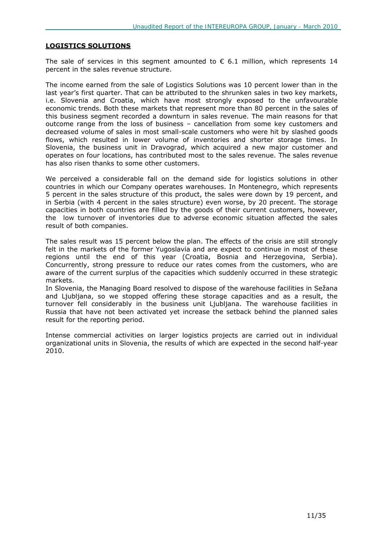### **LOGISTICS SOLUTIONS**

The sale of services in this segment amounted to  $\epsilon$  6.1 million, which represents 14 percent in the sales revenue structure.

The income earned from the sale of Logistics Solutions was 10 percent lower than in the last year's first quarter. That can be attributed to the shrunken sales in two key markets, i.e. Slovenia and Croatia, which have most strongly exposed to the unfavourable economic trends. Both these markets that represent more than 80 percent in the sales of this business segment recorded a downturn in sales revenue. The main reasons for that outcome range from the loss of business – cancellation from some key customers and decreased volume of sales in most small-scale customers who were hit by slashed goods flows, which resulted in lower volume of inventories and shorter storage times. In Slovenia, the business unit in Dravograd, which acquired a new major customer and operates on four locations, has contributed most to the sales revenue. The sales revenue has also risen thanks to some other customers.

We perceived a considerable fall on the demand side for logistics solutions in other countries in which our Company operates warehouses. In Montenegro, which represents 5 percent in the sales structure of this product, the sales were down by 19 percent, and in Serbia (with 4 percent in the sales structure) even worse, by 20 precent. The storage capacities in both countries are filled by the goods of their current customers, however, the low turnover of inventories due to adverse economic situation affected the sales result of both companies.

The sales result was 15 percent below the plan. The effects of the crisis are still strongly felt in the markets of the former Yugoslavia and are expect to continue in most of these regions until the end of this year (Croatia, Bosnia and Herzegovina, Serbia). Concurrently, strong pressure to reduce our rates comes from the customers, who are aware of the current surplus of the capacities which suddenly occurred in these strategic markets.

In Slovenia, the Managing Board resolved to dispose of the warehouse facilities in Sežana and Ljubljana, so we stopped offering these storage capacities and as a result, the turnover fell considerably in the business unit Ljubljana. The warehouse facilities in Russia that have not been activated yet increase the setback behind the planned sales result for the reporting period.

Intense commercial activities on larger logistics projects are carried out in individual organizational units in Slovenia, the results of which are expected in the second half-year 2010.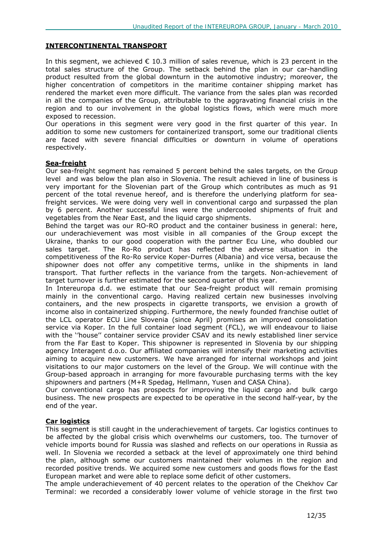### **INTERCONTINENTAL TRANSPORT**

In this segment, we achieved  $\epsilon$  10.3 million of sales revenue, which is 23 percent in the total sales structure of the Group. The setback behind the plan in our car-handling product resulted from the global downturn in the automotive industry; moreover, the higher concentration of competitors in the maritime container shipping market has rendered the market even more difficult. The variance from the sales plan was recorded in all the companies of the Group, attributable to the aggravating financial crisis in the region and to our involvement in the global logistics flows, which were much more exposed to recession.

Our operations in this segment were very good in the first quarter of this year. In addition to some new customers for containerized transport, some our traditional clients are faced with severe financial difficulties or downturn in volume of operations respectively.

#### **Sea-freight**

Our sea-freight segment has remained 5 percent behind the sales targets, on the Group level and was below the plan also in Slovenia. The result achieved in line of business is very important for the Slovenian part of the Group which contributes as much as 91 percent of the total revenue hereof, and is therefore the underlying platform for seafreight services. We were doing very well in conventional cargo and surpassed the plan by 6 percent. Another successful lines were the undercooled shipments of fruit and vegetables from the Near East, and the liquid cargo shipments.

Behind the target was our RO-RO product and the container business in general: here, our underachievement was most visible in all companies of the Group except the Ukraine, thanks to our good cooperation with the partner Ecu Line, who doubled our sales target. The Ro-Ro product has reflected the adverse situation in the competitiveness of the Ro-Ro service Koper-Durres (Albania) and vice versa, because the shipowner does not offer any competitive terms, unlike in the shipments in land transport. That further reflects in the variance from the targets. Non-achievement of target turnover is further estimated for the second quarter of this year.

In Intereuropa d.d. we estimate that our Sea-freight product will remain promising mainly in the conventional cargo. Having realized certain new businesses involving containers, and the new prospects in cigarette transports, we envision a growth of income also in containerized shipping. Furthermore, the newly founded franchise outlet of the LCL operator ECU Line Slovenia (since April) promises an improved consolidation service via Koper. In the full container load segment (FCL), we will endeavour to liaise with the ''house'' container service provider CSAV and its newly established liner service from the Far East to Koper. This shipowner is represented in Slovenia by our shipping agency Interagent d.o.o. Our affiliated companies will intensify their marketing activities aiming to acquire new customers. We have arranged for internal workshops and joint visitations to our major customers on the level of the Group. We will continue with the Group-based approach in arranging for more favourable purchasing terms with the key shipowners and partners (M+R Spedag, Hellmann, Yusen and CASA China).

Our conventional cargo has prospects for improving the liquid cargo and bulk cargo business. The new prospects are expected to be operative in the second half-year, by the end of the year.

### **Car logistics**

This segment is still caught in the underachievement of targets. Car logistics continues to be affected by the global crisis which overwhelms our customers, too. The turnover of vehicle imports bound for Russia was slashed and reflects on our operations in Russia as well. In Slovenia we recorded a setback at the level of approximately one third behind the plan, although some our customers maintained their volumes in the region and recorded positive trends. We acquired some new customers and goods flows for the East European market and were able to replace some deficit of other customers.

The ample underachievement of 40 percent relates to the operation of the Chekhov Car Terminal: we recorded a considerably lower volume of vehicle storage in the first two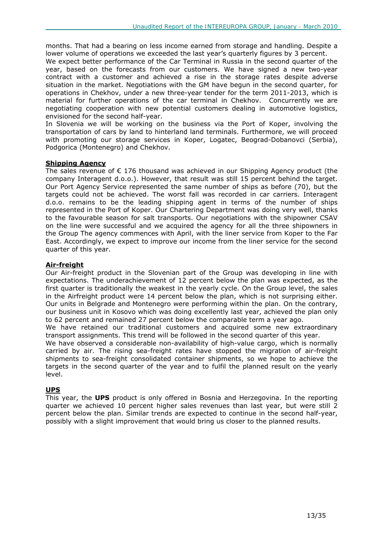months. That had a bearing on less income earned from storage and handling. Despite a lower volume of operations we exceeded the last year's quarterly figures by 3 percent.

We expect better performance of the Car Terminal in Russia in the second quarter of the year, based on the forecasts from our customers. We have signed a new two-year contract with a customer and achieved a rise in the storage rates despite adverse situation in the market. Negotiations with the GM have begun in the second quarter, for operations in Chekhov, under a new three-year tender for the term 2011-2013, which is material for further operations of the car terminal in Chekhov. Concurrently we are negotiating cooperation with new potential customers dealing in automotive logistics, envisioned for the second half-year.

In Slovenia we will be working on the business via the Port of Koper, involving the transportation of cars by land to hinterland land terminals. Furthermore, we will proceed with promoting our storage services in Koper, Logatec, Beograd-Dobanovci (Serbia), Podgorica (Montenegro) and Chekhov.

### **Shipping Agency**

The sales revenue of  $\epsilon$  176 thousand was achieved in our Shipping Agency product (the company Interagent d.o.o.). However, that result was still 15 percent behind the target. Our Port Agency Service represented the same number of ships as before (70), but the targets could not be achieved. The worst fall was recorded in car carriers. Interagent d.o.o. remains to be the leading shipping agent in terms of the number of ships represented in the Port of Koper. Our Chartering Department was doing very well, thanks to the favourable season for salt transports. Our negotiations with the shipowner CSAV on the line were successful and we acquired the agency for all the three shipowners in the Group The agency commences with April, with the liner service from Koper to the Far East. Accordingly, we expect to improve our income from the liner service for the second quarter of this year.

### **Air-freight**

Our Air-freight product in the Slovenian part of the Group was developing in line with expectations. The underachievement of 12 percent below the plan was expected, as the first quarter is traditionally the weakest in the yearly cycle. On the Group level, the sales in the Airfreight product were 14 percent below the plan, which is not surprising either. Our units in Belgrade and Montenegro were performing within the plan. On the contrary, our business unit in Kosovo which was doing excellently last year, achieved the plan only to 62 percent and remained 27 percent below the comparable term a year ago.

We have retained our traditional customers and acquired some new extraordinary transport assignments. This trend will be followed in the second quarter of this year.

We have observed a considerable non-availability of high-value cargo, which is normally carried by air. The rising sea-freight rates have stopped the migration of air-freight shipments to sea-freight consolidated container shipments, so we hope to achieve the targets in the second quarter of the year and to fulfil the planned result on the yearly level.

### **UPS**

This year, the **UPS** product is only offered in Bosnia and Herzegovina. In the reporting quarter we achieved 10 percent higher sales revenues than last year, but were still 2 percent below the plan. Similar trends are expected to continue in the second half-year, possibly with a slight improvement that would bring us closer to the planned results.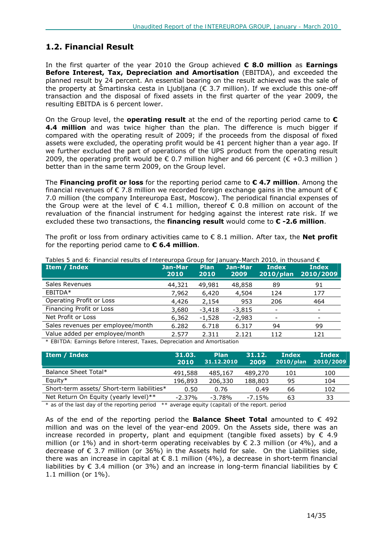### **1.2. Financial Result**

In the first quarter of the year 2010 the Group achieved **€ 8.0 million** as **Earnings Before Interest, Tax, Depreciation and Amortisation** (EBITDA), and exceeded the planned result by 24 percent. An essential bearing on the result achieved was the sale of the property at Šmartinska cesta in Ljubljana ( $\epsilon$  3.7 million). If we exclude this one-off transaction and the disposal of fixed assets in the first quarter of the year 2009, the resulting EBITDA is 6 percent lower.

On the Group level, the **operating result** at the end of the reporting period came to **€ 4.4 million** and was twice higher than the plan. The difference is much bigger if compared with the operating result of 2009; if the proceeds from the disposal of fixed assets were excluded, the operating profit would be 41 percent higher than a year ago. If we further excluded the part of operations of the UPS product from the operating result 2009, the operating profit would be  $\epsilon$  0.7 million higher and 66 percent ( $\epsilon$  +0.3 million) better than in the same term 2009, on the Group level.

The **Financing profit or loss** for the reporting period came to **€ 4.7 million**. Among the financial revenues of  $\epsilon$  7.8 million we recorded foreign exchange gains in the amount of  $\epsilon$ 7.0 million (the company Intereuropa East, Moscow). The periodical financial expenses of the Group were at the level of  $\epsilon$  4.1 million, thereof  $\epsilon$  0.8 million on account of the revaluation of the financial instrument for hedging against the interest rate risk. If we excluded these two transactions, the **financing result** would come to **€ -2.6 million**.

The profit or loss from ordinary activities came to € 8.1 million. After tax, the **Net profit**  for the reporting period came to **€ 6.4 million**.

| Item / Index                      | Jan-Mar<br>2010 | <b>Plan</b><br>2010 | Jan-Mar<br>2009 | <b>Index</b><br>$2010$ /plan | <b>Index</b><br>2010/2009 |
|-----------------------------------|-----------------|---------------------|-----------------|------------------------------|---------------------------|
| Sales Revenues                    | 44,321          | 49,981              | 48,858          | 89                           | 91                        |
| EBITDA*                           | 7,962           | 6,420               | 4,504           | 124                          | 177                       |
| Operating Profit or Loss          | 4,426           | 2,154               | 953             | 206                          | 464                       |
| Financing Profit or Loss          | 3,680           | $-3,418$            | $-3,815$        |                              |                           |
| Net Profit or Loss                | 6,362           | $-1,528$            | $-2,983$        |                              |                           |
| Sales revenues per employee/month | 6.282           | 6.718               | 6.317           | 94                           | 99                        |
| Value added per employee/month    | 2.577           | 2.311               | 2.121           | 112                          | 121                       |

*Tables 5 and 6: Financial results of Intereuropa Group for January-March 2010, in thousand €* 

*\* EBITDA: Earnings Before Interest, Taxes, Depreciation and Amortisation* 

| 31.03.<br>2010 | <b>Plan</b><br>31.12.2010 | 31.12.<br>2009 | Index<br>2010/plan | <b>Index</b><br>2010/2009 |
|----------------|---------------------------|----------------|--------------------|---------------------------|
| 491,588        | 485,167                   | 489,270        | 101                | 100                       |
| 196,893        | 206,330                   | 188,803        | 95                 | 104                       |
| 0.50           | 0.76                      | 0.49           | 66                 | 102                       |
| $-2.37\%$      | $-3.78%$                  | $-7.15%$       | 63                 | 33                        |
|                |                           |                |                    |                           |

*\* as of the last day of the reporting period \*\* average equity (capital) of the report. period* 

As of the end of the reporting period the **Balance Sheet Total** amounted to € 492 million and was on the level of the year-end 2009. On the Assets side, there was an increase recorded in property, plant and equipment (tangible fixed assets) by  $\epsilon$  4.9 million (or 1%) and in short-term operating receivables by  $\epsilon$  2.3 million (or 4%), and a decrease of  $\epsilon$  3.7 million (or 36%) in the Assets held for sale. On the Liabilities side, there was an increase in capital at  $\epsilon$  8.1 million (4%), a decrease in short-term financial liabilities by  $\epsilon$  3.4 million (or 3%) and an increase in long-term financial liabilities by  $\epsilon$ 1.1 million (or 1%).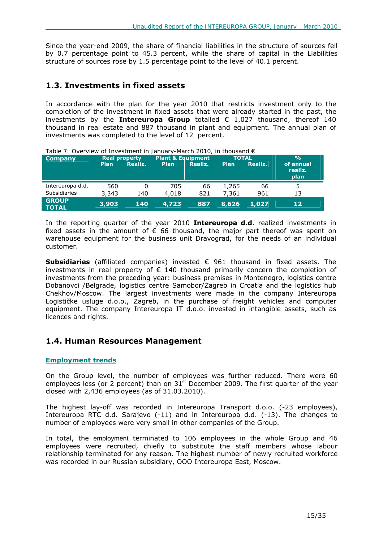Since the year-end 2009, the share of financial liabilities in the structure of sources fell by 0.7 percentage point to 45.3 percent, while the share of capital in the Liabilities structure of sources rose by 1.5 percentage point to the level of 40.1 percent.

### **1.3. Investments in fixed assets**

In accordance with the plan for the year 2010 that restricts investment only to the completion of the investment in fixed assets that were already started in the past, the investments by the **Intereuropa Group** totalled € 1,027 thousand, thereof 140 thousand in real estate and 887 thousand in plant and equipment. The annual plan of investments was completed to the level of 12 percent.

| Table 7: Overview of Investment in January-March 2010, in thousand $\epsilon$ |       |                      |                              |         |              |         |                              |
|-------------------------------------------------------------------------------|-------|----------------------|------------------------------|---------|--------------|---------|------------------------------|
| <b>Company</b>                                                                |       | <b>Real property</b> | <b>Plant &amp; Equipment</b> |         | <b>TOTAL</b> |         | $\frac{0}{0}$                |
|                                                                               | Plan  | Realiz.              | <b>Plan</b>                  | Realiz. | <b>Plan</b>  | Realiz. | of annual<br>realiz.<br>plan |
| Intereuropa d.d.                                                              | 560   |                      | 705                          | 66      | 1,265        | 66      |                              |
| <b>Subsidiaries</b>                                                           | 3,343 | 140                  | 4,018                        | 821     | 7,361        | 961     | 13                           |
| <b>GROUP</b><br><b>TOTAL</b>                                                  | 3,903 | 140                  | 4,723                        | 887     | 8,626        | 1,027   | 12                           |

In the reporting quarter of the year 2010 **Intereuropa d.d**. realized investments in fixed assets in the amount of  $\epsilon$  66 thousand, the major part thereof was spent on warehouse equipment for the business unit Dravograd, for the needs of an individual customer.

**Subsidiaries** (affiliated companies) invested € 961 thousand in fixed assets. The investments in real property of  $\epsilon$  140 thousand primarily concern the completion of investments from the preceding year: business premises in Montenegro, logistics centre Dobanovci /Belgrade, logistics centre Samobor/Zagreb in Croatia and the logistics hub Chekhov/Moscow. The largest investments were made in the company Intereuropa Logističke usluge d.o.o., Zagreb, in the purchase of freight vehicles and computer equipment. The company Intereuropa IT d.o.o. invested in intangible assets, such as licences and rights.

### **1.4. Human Resources Management**

### **Employment trends**

On the Group level, the number of employees was further reduced. There were 60 employees less (or 2 percent) than on  $31<sup>st</sup>$  December 2009. The first quarter of the year closed with 2,436 employees (as of 31.03.2010).

The highest lay-off was recorded in Intereuropa Transport d.o.o. (-23 employees), Intereuropa RTC d.d. Sarajevo (-11) and in Intereuropa d.d. (-13). The changes to number of employees were very small in other companies of the Group.

In total, the employment terminated to 106 employees in the whole Group and 46 employees were recruited, chiefly to substitute the staff members whose labour relationship terminated for any reason. The highest number of newly recruited workforce was recorded in our Russian subsidiary, OOO Intereuropa East, Moscow.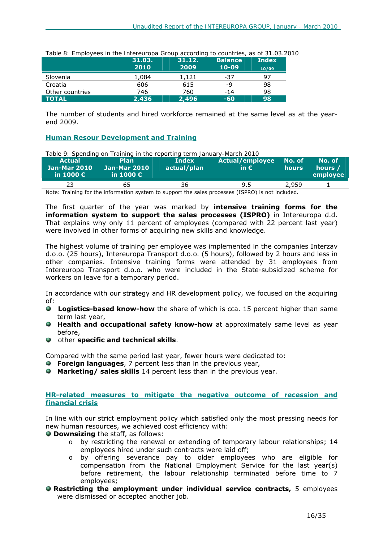| Table 8: Employees in the thiefeuropa Group according to countries, as of 31.03.20 |        |        |                |              |
|------------------------------------------------------------------------------------|--------|--------|----------------|--------------|
|                                                                                    | 31.03. | 31.12. | <b>Balance</b> | <b>Index</b> |
|                                                                                    | 2010   | 2009   | $10 - 09$      | 10/09        |
| Slovenia                                                                           | 1,084  | 1,121  | -37            | 97           |
| Croatia                                                                            | 606    | 615    | -9             | 98           |
| Other countries                                                                    | 746    | 760    | $-14$          | 98           |
| <b>TOTAL</b>                                                                       | 2,436  | 2,496  | $-60$          | 98           |

*Table 8: Employees in the Intereuropa Group according to countries, as of 31.03.2010* 

The number of students and hired workforce remained at the same level as at the yearend 2009.

### **Human Resour Development and Training**

| Table 9: Spending on Training in the reporting term January-March 2010 |                                                          |                             |                                         |                 |                               |  |  |
|------------------------------------------------------------------------|----------------------------------------------------------|-----------------------------|-----------------------------------------|-----------------|-------------------------------|--|--|
| <b>Actual</b><br><b>Jan-Mar 2010</b><br>in 1000 $\epsilon$             | <b>Plan</b><br><b>Jan-Mar 2010</b><br>in 1000 $\epsilon$ | <b>Index</b><br>actual/plan | <b>Actual/employee</b><br>in $\epsilon$ | No. of<br>hours | No. of<br>hours /<br>employee |  |  |
| 23                                                                     | 65                                                       | 36                          | 9.5                                     | 2,959           |                               |  |  |

Note: Training for the information system to support the sales processes (ISPRO) is not included.

The first quarter of the year was marked by **intensive training forms for the information system to support the sales processes (ISPRO)** in Intereuropa d.d. That explains why only 11 percent of employees (compared with 22 percent last year) were involved in other forms of acquiring new skills and knowledge.

The highest volume of training per employee was implemented in the companies Interzav d.o.o. (25 hours), Intereuropa Transport d.o.o. (5 hours), followed by 2 hours and less in other companies. Intensive training forms were attended by 31 employees from Intereuropa Transport d.o.o. who were included in the State-subsidized scheme for workers on leave for a temporary period.

In accordance with our strategy and HR development policy, we focused on the acquiring of:

- **Logistics-based know-how** the share of which is cca. 15 percent higher than same term last year,
- **Health and occupational safety know-how** at approximately same level as year before,
- other **specific and technical skills**.

Compared with the same period last year, fewer hours were dedicated to:

- **Foreign languages**, 7 percent less than in the previous year,
- **Marketing/ sales skills** 14 percent less than in the previous year.

### **HR-related measures to mitigate the negative outcome of recession and financial crisis**

In line with our strict employment policy which satisfied only the most pressing needs for new human resources, we achieved cost efficiency with:

 **Downsizing** the staff, as follows:

- o by restricting the renewal or extending of temporary labour relationships; 14 employees hired under such contracts were laid off;
- o by offering severance pay to older employees who are eligible for compensation from the National Employment Service for the last year(s) before retirement, the labour relationship terminated before time to 7 employees;
- **Restricting the employment under individual service contracts,** 5 employees were dismissed or accepted another job.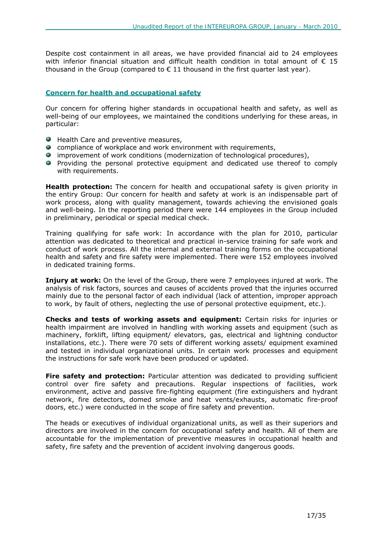Despite cost containment in all areas, we have provided financial aid to 24 employees with inferior financial situation and difficult health condition in total amount of  $\epsilon$  15 thousand in the Group (compared to  $\epsilon$  11 thousand in the first quarter last year).

### **Concern for health and occupational safety**

Our concern for offering higher standards in occupational health and safety, as well as well-being of our employees, we maintained the conditions underlying for these areas, in particular:

- Health Care and preventive measures,
- **C** compliance of workplace and work environment with requirements,
- improvement of work conditions (modernization of technological procedures),
- Providing the personal protective equipment and dedicated use thereof to comply with requirements.

**Health protection:** The concern for health and occupational safety is given priority in the entiry Group: Our concern for health and safety at work is an indispensable part of work process, along with quality management, towards achieving the envisioned goals and well-being. In the reporting period there were 144 employees in the Group included in preliminary, periodical or special medical check.

Training qualifying for safe work: In accordance with the plan for 2010, particular attention was dedicated to theoretical and practical in-service training for safe work and conduct of work process. All the internal and external training forms on the occupational health and safety and fire safety were implemented. There were 152 employees involved in dedicated training forms.

**Injury at work:** On the level of the Group, there were 7 employees injured at work. The analysis of risk factors, sources and causes of accidents proved that the injuries occurred mainly due to the personal factor of each individual (lack of attention, improper approach to work, by fault of others, neglecting the use of personal protective equipment, etc.).

**Checks and tests of working assets and equipment:** Certain risks for injuries or health impairment are involved in handling with working assets and equipment (such as machinery, forklift, lifting equipment/ elevators, gas, electrical and lightning conductor installations, etc.). There were 70 sets of different working assets/ equipment examined and tested in individual organizational units. In certain work processes and equipment the instructions for safe work have been produced or updated.

**Fire safety and protection:** Particular attention was dedicated to providing sufficient control over fire safety and precautions. Regular inspections of facilities, work environment, active and passive fire-fighting equipment (fire extinguishers and hydrant network, fire detectors, domed smoke and heat vents/exhausts, automatic fire-proof doors, etc.) were conducted in the scope of fire safety and prevention.

The heads or executives of individual organizational units, as well as their superiors and directors are involved in the concern for occupational safety and health. All of them are accountable for the implementation of preventive measures in occupational health and safety, fire safety and the prevention of accident involving dangerous goods.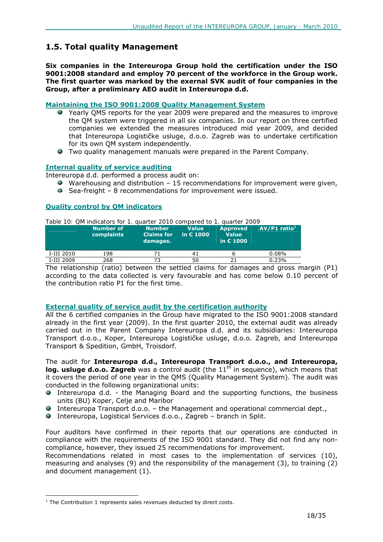### **1.5. Total quality Management**

**Six companies in the Intereuropa Group hold the certification under the ISO 9001:2008 standard and employ 70 percent of the workforce in the Group work. The first quarter was marked by the exernal SVK audit of four companies in the Group, after a preliminary AEO audit in Intereuropa d.d.** 

### **Maintaining the ISO 9001:2008 Quality Management System**

- Yearly QMS reports for the year 2009 were prepared and the measures to improve the QM system were triggered in all six companies. In our report on three certified companies we extended the measures introduced mid year 2009, and decided that Intereuropa Logističke usluge, d.o.o. Zagreb was to undertake certification for its own QM system independently.
- Two quality management manuals were prepared in the Parent Company.

### **Internal quality of service auditing**

Intereuropa d.d. performed a process audit on:

- $\blacktriangleright$  Warehousing and distribution 15 recommendations for improvement were given,
- Sea-freight 8 recommendations for improvement were issued.

### **Quality control by QM indicators**

|  |  |  |  |  |  | Table 10: QM indicators for 1. quarter 2010 compared to 1. quarter 2009 |  |
|--|--|--|--|--|--|-------------------------------------------------------------------------|--|
|  |  |  |  |  |  |                                                                         |  |

|            | Number of<br>complaints | <b>Number</b><br><b>Claims for l</b><br>damages. | <b>Value</b><br>in $\epsilon$ 1000 | <b>Approved</b><br><b>Value</b><br>in $E$ 1000 | $AV/P1$ ratio <sup>1</sup> |
|------------|-------------------------|--------------------------------------------------|------------------------------------|------------------------------------------------|----------------------------|
| I-III 2010 | 198                     |                                                  | 41                                 |                                                | 0.08%                      |
| I-III 2009 | 268                     |                                                  | 50                                 |                                                | 0.23%                      |

The relationship (ratio) between the settled claims for damages and gross margin (P1) according to the data collected is very favourable and has come below 0.10 percent of the contribution ratio P1 for the first time.

### **External quality of service audit by the certification authority**

All the 6 certified companies in the Group have migrated to the ISO 9001:2008 standard already in the first year (2009). In the first quarter 2010, the external audit was already carried out in the Parent Company Intereuropa d.d. and its subsidiaries: Intereuropa Transport d.o.o., Koper, Intereuropa Logističke usluge, d.o.o. Zagreb, and Intereuropa Transport & Spedition, GmbH, Troisdorf.

The audit for **Intereuropa d.d., Intereuropa Transport d.o.o., and Intereuropa, log. usluge d.o.o. Zagreb** was a control audit (the 11<sup>th</sup> in sequence), which means that it covers the period of one year in the QMS (Quality Management System). The audit was conducted in the following organizational units:

- Intereuropa d.d. the Managing Board and the supporting functions, the business units (BU) Koper, Celje and Maribor
- Intereuropa Transport  $d.o.o. -$  the Management and operational commercial dept.,
- Intereuropa, Logistical Services d.o.o., Zagreb branch in Split.

Four auditors have confirmed in their reports that our operations are conducted in compliance with the requirements of the ISO 9001 standard. They did not find any noncompliance, however, they issued 25 recommendations for improvement.

Recommendations related in most cases to the implementation of services (10), measuring and analyses (9) and the responsibility of the management (3), to training (2) and document management (1).

 $\overline{a}$  $1$  The Contribution 1 represents sales revenues deducted by direct costs.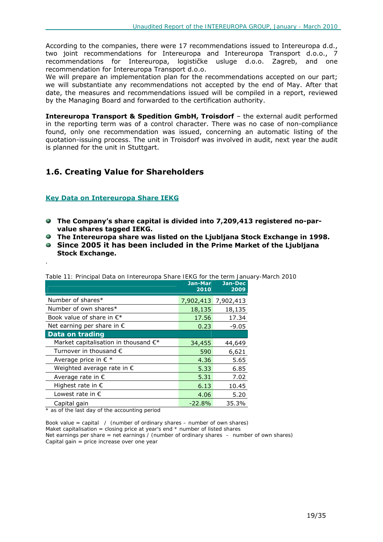According to the companies, there were 17 recommendations issued to Intereuropa d.d., two joint recommendations for Intereuropa and Intereuropa Transport d.o.o., 7 recommendations for Intereuropa, logističke usluge d.o.o. Zagreb, and one recommendation for Intereuropa Transport d.o.o.

We will prepare an implementation plan for the recommendations accepted on our part; we will substantiate any recommendations not accepted by the end of May. After that date, the measures and recommendations issued will be compiled in a report, reviewed by the Managing Board and forwarded to the certification authority.

**Intereuropa Transport & Spedition GmbH, Troisdorf** – the external audit performed in the reporting term was of a control character. There was no case of non-compliance found, only one recommendation was issued, concerning an automatic listing of the quotation-issuing process. The unit in Troisdorf was involved in audit, next year the audit is planned for the unit in Stuttgart.

### **1.6. Creating Value for Shareholders**

### **Key Data on Intereuropa Share IEKG**

.

- **The Company's share capital is divided into 7,209,413 registered no-parvalue shares tagged IEKG.**
- **The Intereuropa share was listed on the Ljubljana Stock Exchange in 1998.**
- **Since 2005 it has been included in the Prime Market of the Ljubljana Stock Exchange.**

|                                                | Jan-Mar<br>2010 | Jan-Dec<br>2009 |
|------------------------------------------------|-----------------|-----------------|
| Number of shares*                              | 7,902,413       | 7,902,413       |
| Number of own shares*                          | 18,135          | 18,135          |
| Book value of share in $\epsilon^*$            | 17.56           | 17.34           |
| Net earning per share in $\epsilon$            | 0.23            | $-9.05$         |
| Data on trading                                |                 |                 |
| Market capitalisation in thousand $\epsilon^*$ | 34,455          | 44,649          |
| Turnover in thousand $\epsilon$                | 590             | 6,621           |
| Average price in $\epsilon$ *                  | 4.36            | 5.65            |
| Weighted average rate in €                     | 5.33            | 6.85            |
| Average rate in $\epsilon$                     | 5.31            | 7.02            |
| Highest rate in $\epsilon$                     | 6.13            | 10.45           |
| Lowest rate in $\epsilon$                      | 4.06            | 5.20            |
| Capital gain                                   | $-22.8%$        | 35.3%           |

*Table 11: Principal Data on Intereuropa Share IEKG for the term January-March 2010* 

*\* as of the last day of the accounting period* 

*Book value = capital / (number of ordinary shares – number of own shares) Maket capitalisation = closing price at year's end \* number of listed shares Net earnings per share = net earnings / (number of ordinary shares – number of own shares) Capital gain = price increase over one year*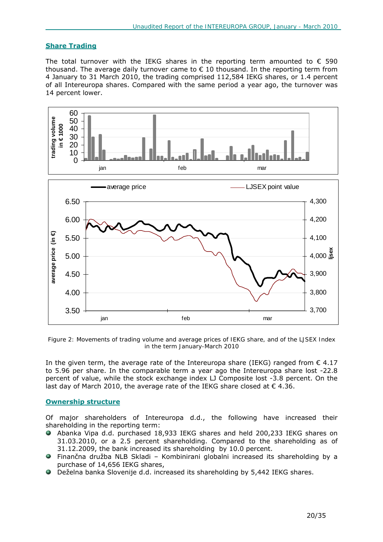### **Share Trading**

The total turnover with the IEKG shares in the reporting term amounted to  $\epsilon$  590 thousand. The average daily turnover came to  $\epsilon$  10 thousand. In the reporting term from 4 January to 31 March 2010, the trading comprised 112,584 IEKG shares, or 1.4 percent of all Intereuropa shares. Compared with the same period a year ago, the turnover was 14 percent lower.



*Figure 2: Movements of trading volume and average prices of IEKG share, and of the LJSEX Index in the term January-March 2010*

In the given term, the average rate of the Intereuropa share (IEKG) ranged from  $\epsilon$  4.17 to 5.96 per share. In the comparable term a year ago the Intereuropa share lost -22.8 percent of value, while the stock exchange index LJ Composite lost -3.8 percent. On the last day of March 2010, the average rate of the IEKG share closed at  $\epsilon$  4.36.

### **Ownership structure**

Of major shareholders of Intereuropa d.d., the following have increased their shareholding in the reporting term:

- Abanka Vipa d.d. purchased 18,933 IEKG shares and held 200,233 IEKG shares on 31.03.2010, or a 2.5 percent shareholding. Compared to the shareholding as of 31.12.2009, the bank increased its shareholding by 10.0 percent.
- Finančna družba NLB Skladi Kombinirani globalni increased its shareholding by a purchase of 14,656 IEKG shares,
- Deželna banka Slovenije d.d. increased its shareholding by 5,442 IEKG shares.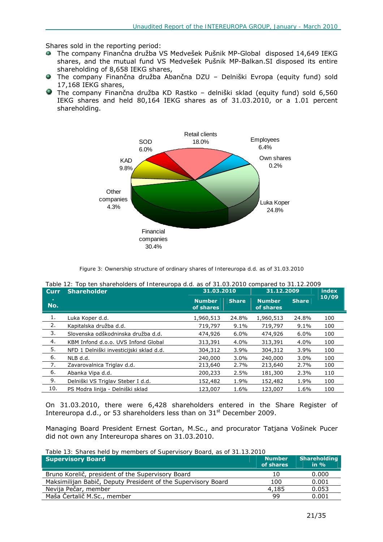Shares sold in the reporting period:

- The company Finančna družba VS Medvešek Pušnik MP-Global disposed 14,649 IEKG shares, and the mutual fund VS Medvešek Pušnik MP-Balkan.SI disposed its entire shareholding of 8,658 IEKG shares,
- The company Finančna družba Abančna DZU Delniški Evropa (equity fund) sold 17,168 IEKG shares,
- The company Finančna družba KD Rastko delniški sklad (equity fund) sold 6,560 IEKG shares and held 80,164 IEKG shares as of 31.03.2010, or a 1.01 percent shareholding.



*Figure 3: Ownership structure of ordinary shares of Intereuropa d.d. as of 31.03.2010* 

| Curr      | <b>Shareholder</b>                      | 31.03.2010                 |              | 31.12.2009                 | index        |       |
|-----------|-----------------------------------------|----------------------------|--------------|----------------------------|--------------|-------|
| п.<br>No. |                                         | <b>Number</b><br>of shares | <b>Share</b> | <b>Number</b><br>of shares | <b>Share</b> | 10/09 |
| 1.        | Luka Koper d.d.                         | 1,960,513                  | 24.8%        | 1,960,513                  | 24.8%        | 100   |
| 2.        | Kapitalska družba d.d.                  | 719,797                    | $9.1\%$      | 719,797                    | 9.1%         | 100   |
| 3.        | Slovenska odškodninska družba d.d.      | 474,926                    | $6.0\%$      | 474,926                    | $6.0\%$      | 100   |
| 4.        | KBM Infond d.o.o. UVS Infond Global     | 313,391                    | 4.0%         | 313,391                    | 4.0%         | 100   |
| 5.        | NFD 1 Delniški investicijski sklad d.d. | 304,312                    | 3.9%         | 304,312                    | 3.9%         | 100   |
| 6.        | NLB d.d.                                | 240,000                    | $3.0\%$      | 240,000                    | $3.0\%$      | 100   |
| 7.        | Zavarovalnica Triglav d.d.              | 213,640                    | 2.7%         | 213,640                    | 2.7%         | 100   |
| 6.        | Abanka Vipa d.d.                        | 200,233                    | 2.5%         | 181,300                    | 2.3%         | 110   |
| 9.        | Delniški VS Triglav Steber I d.d.       | 152,482                    | 1.9%         | 152,482                    | 1.9%         | 100   |
| 10.       | PS Modra linija - Delniški sklad        | 123,007                    | 1.6%         | 123,007                    | 1.6%         | 100   |

*Table 12: Top ten shareholders of Intereuropa d.d. as of 31.03.2010 compared to 31.12.2009* 

On 31.03.2010, there were 6,428 shareholders entered in the Share Register of Intereuropa d.d., or 53 shareholders less than on 31<sup>st</sup> December 2009.

Managing Board President Ernest Gortan, M.Sc., and procurator Tatjana Vošinek Pucer did not own any Intereuropa shares on 31.03.2010.

*Table 13: Shares held by members of Supervisory Board, as of 31.13.2010*

| <b>Supervisory Board</b>                                      | <b>Number</b><br>of shares | <b>Shareholding</b><br>in $\%$ |
|---------------------------------------------------------------|----------------------------|--------------------------------|
| Bruno Korelič, president of the Supervisory Board             | 10                         | 0.000                          |
| Maksimilijan Babič, Deputy President of the Supervisory Board | 100                        | 0.001                          |
| Nevija Pečar, member                                          | 4,185                      | 0.053                          |
| Maša Čertalič M.Sc., member                                   | 99                         | 0.001                          |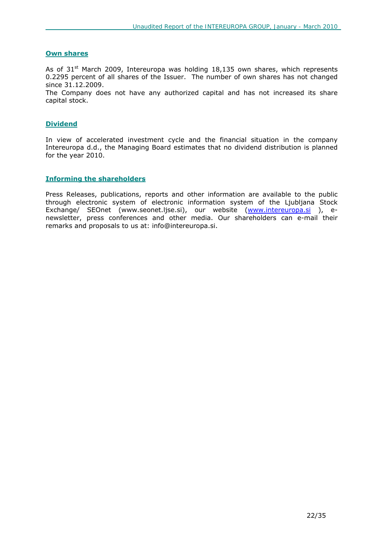### **Own shares**

As of  $31<sup>st</sup>$  March 2009, Intereuropa was holding 18,135 own shares, which represents 0.2295 percent of all shares of the Issuer. The number of own shares has not changed since 31.12.2009.

The Company does not have any authorized capital and has not increased its share capital stock.

#### **Dividend**

In view of accelerated investment cycle and the financial situation in the company Intereuropa d.d., the Managing Board estimates that no dividend distribution is planned for the year 2010.

### **Informing the shareholders**

Press Releases, publications, reports and other information are available to the public through electronic system of electronic information system of the Ljubljana Stock Exchange/ SEOnet (www.seonet.ljse.si), our website (www.intereuropa.si ), enewsletter, press conferences and other media. Our shareholders can e-mail their remarks and proposals to us at: info@intereuropa.si.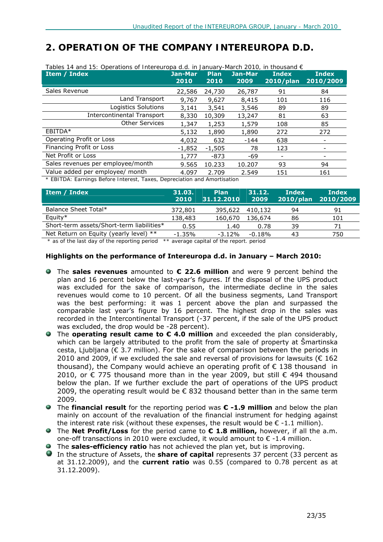# *2. OPERATION OF THE COMPANY INTEREUROPA D.D.*

| Tables 14 and 15: Operations of Intereuropa d.d. in January-March 2010, in thousand $\epsilon$ |                 |              |                 |                              |                    |  |  |  |
|------------------------------------------------------------------------------------------------|-----------------|--------------|-----------------|------------------------------|--------------------|--|--|--|
| Item / Index                                                                                   | Jan-Mar<br>2010 | Plan<br>2010 | Jan-Mar<br>2009 | <b>Index</b><br>$2010$ /plan | Index<br>2010/2009 |  |  |  |
| Sales Revenue                                                                                  | 22,586          | 24,730       | 26,787          | 91                           | 84                 |  |  |  |
| Land Transport                                                                                 | 9,767           | 9,627        | 8,415           | 101                          | 116                |  |  |  |
| Logistics Solutions                                                                            | 3,141           | 3,541        | 3,546           | 89                           | 89                 |  |  |  |
| <b>Intercontinental Transport</b>                                                              | 8,330           | 10,309       | 13,247          | 81                           | 63                 |  |  |  |
| <b>Other Services</b>                                                                          | 1,347           | 1,253        | 1,579           | 108                          | 85                 |  |  |  |
| EBITDA*                                                                                        | 5,132           | 1,890        | 1,890           | 272                          | 272                |  |  |  |
| Operating Profit or Loss                                                                       | 4,032           | 632          | $-144$          | 638                          |                    |  |  |  |
| Financing Profit or Loss                                                                       | $-1,852$        | $-1,505$     | 78              | 123                          |                    |  |  |  |
| Net Profit or Loss                                                                             | 1,777           | $-873$       | -69             |                              |                    |  |  |  |
| Sales revenues per employee/month                                                              | 9.565           | 10.233       | 10.207          | 93                           | 94                 |  |  |  |
| Value added per employee/ month                                                                | 4.097           | 2.709        | 2.549           | 151                          | 161                |  |  |  |
| * EDITOA: Fernings Pefere Interest, Tayes, Depresiation and Amertication                       |                 |              |                 |                              |                    |  |  |  |

*\* EBITDA: Earnings Before Interest, Taxes, Depreciation and Amortisation* 

| Item / Index                              | 31.03.<br>2010 | <b>Plan</b><br>31.12.2010 | 31.12.<br>2009 | Index<br>$2010/$ plan | <b>Index</b><br>2010/2009 |
|-------------------------------------------|----------------|---------------------------|----------------|-----------------------|---------------------------|
| Balance Sheet Total*                      | 372,801        | 395,622                   | 410,132        | 94                    | 91                        |
| Equity $*$                                | 138,483        | 160,670                   | 136,674        | 86                    | 101                       |
| Short-term assets/Short-term liabilities* | 0.55           | 1.40                      | 0.78           | 39                    | 71                        |
| Net Return on Equity (yearly level) **    | $-1.35%$       | $-3.12%$                  | $-0.18%$       | 43                    | 750                       |

 *\* as of the last day of the reporting period \*\* average capital of the report. period* 

### **Highlights on the performance of Intereuropa d.d. in January – March 2010:**

- The **sales revenues** amounted to **€ 22.6 million** and were 9 percent behind the plan and 16 percent below the last-year's figures. If the disposal of the UPS product was excluded for the sake of comparison, the intermediate decline in the sales revenues would come to 10 percent. Of all the business segments, Land Transport was the best performing: it was 1 percent above the plan and surpassed the comparable last year's figure by 16 percent. The highest drop in the sales was recorded in the Intercontinental Transport (-37 percent, if the sale of the UPS product was excluded, the drop would be -28 percent).
- The **operating result came to € 4.0 million** and exceeded the plan considerably, which can be largely attributed to the profit from the sale of property at Šmartinska cesta, Ljubljana ( $\epsilon$  3.7 million). For the sake of comparison between the periods in 2010 and 2009, if we excluded the sale and reversal of provisions for lawsuits ( $\epsilon$  162 thousand), the Company would achieve an operating profit of  $\epsilon$  138 thousand in 2010, or € 775 thousand more than in the year 2009, but still € 494 thousand below the plan. If we further exclude the part of operations of the UPS product 2009, the operating result would be  $\epsilon$  832 thousand better than in the same term 2009.
- The **financial result** for the reporting period was **€ -1.9 million** and below the plan mainly on account of the revaluation of the financial instrument for hedging against the interest rate risk (without these expenses, the result would be  $\epsilon$  -1.1 million).
- The **Net Profit/Loss** for the period came to **€ 1.8 million,** however, if all the a.m. one-off transactions in 2010 were excluded, it would amount to  $\epsilon$  -1.4 million.
- The **sales-efficiency ratio** has not achieved the plan yet, but is improving.
- In the structure of Assets, the **share of capital** represents 37 percent (33 percent as at 31.12.2009), and the **current ratio** was 0.55 (compared to 0.78 percent as at 31.12.2009).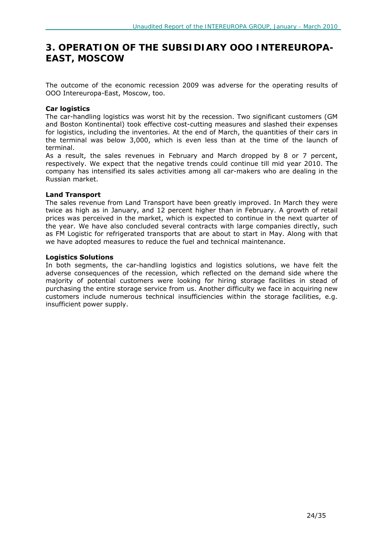# *3. OPERATION OF THE SUBSIDIARY OOO INTEREUROPA-EAST, MOSCOW*

The outcome of the economic recession 2009 was adverse for the operating results of OOO Intereuropa-East, Moscow, too.

### **Car logistics**

The car-handling logistics was worst hit by the recession. Two significant customers (GM and Boston Kontinental) took effective cost-cutting measures and slashed their expenses for logistics, including the inventories. At the end of March, the quantities of their cars in the terminal was below 3,000, which is even less than at the time of the launch of terminal.

As a result, the sales revenues in February and March dropped by 8 or 7 percent, respectively. We expect that the negative trends could continue till mid year 2010. The company has intensified its sales activities among all car-makers who are dealing in the Russian market.

### **Land Transport**

The sales revenue from Land Transport have been greatly improved. In March they were twice as high as in January, and 12 percent higher than in February. A growth of retail prices was perceived in the market, which is expected to continue in the next quarter of the year. We have also concluded several contracts with large companies directly, such as FM Logistic for refrigerated transports that are about to start in May. Along with that we have adopted measures to reduce the fuel and technical maintenance.

### **Logistics Solutions**

In both segments, the car-handling logistics and logistics solutions, we have felt the adverse consequences of the recession, which reflected on the demand side where the majority of potential customers were looking for hiring storage facilities in stead of purchasing the entire storage service from us. Another difficulty we face in acquiring new customers include numerous technical insufficiencies within the storage facilities, e.g. insufficient power supply.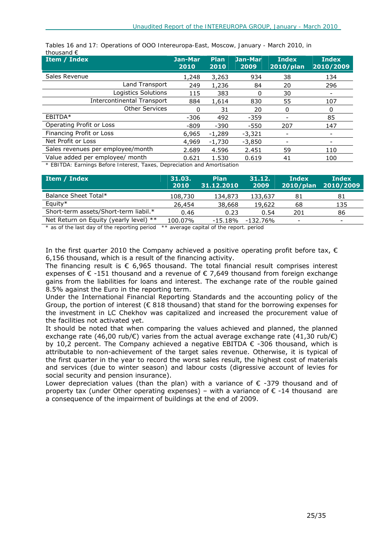| Item / Index                      | Jan-Mar<br>2010 | <b>Plan</b><br>2010 | Jan-Mar<br>2009 | <b>Index</b><br>2010/plan | <b>Index</b><br>2010/2009 |
|-----------------------------------|-----------------|---------------------|-----------------|---------------------------|---------------------------|
| Sales Revenue                     | 1,248           | 3,263               | 934             | 38                        | 134                       |
| Land Transport                    | 249             | 1,236               | 84              | 20                        | 296                       |
| Logistics Solutions               | 115             | 383                 | 0               | 30                        |                           |
| <b>Intercontinental Transport</b> | 884             | 1,614               | 830             | 55                        | 107                       |
| <b>Other Services</b>             | O               | 31                  | 20              | 0                         | 0                         |
| EBITDA*                           | $-306$          | 492                 | $-359$          |                           | 85                        |
| Operating Profit or Loss          | $-809$          | $-390$              | $-550$          | 207                       | 147                       |
| Financing Profit or Loss          | 6,965           | $-1,289$            | $-3,321$        |                           | -                         |
| Net Profit or Loss                | 4,969           | $-1,730$            | $-3.850$        |                           |                           |
| Sales revenues per employee/month | 2.689           | 4.596               | 2.451           | 59                        | 110                       |
| Value added per employee/ month   | 0.621           | 1.530               | 0.619           | 41                        | 100                       |

*Tables 16 and 17: Operations of OOO Intereuropa-East, Moscow, January - March 2010, in thousand €*

*\* EBITDA: Earnings Before Interest, Taxes, Depreciation and Amortisation* 

| Item / Index                           | 31.03.<br>2010 | <b>Plan</b><br>31.12.2010 | 31.12.<br>2009 | Index<br>$2010/$ plan | Index<br>2010/2009       |
|----------------------------------------|----------------|---------------------------|----------------|-----------------------|--------------------------|
| Balance Sheet Total*                   | 108,730        | 134,873                   | 133,637        | 81                    | 81                       |
| Equity $*$                             | 26,454         | 38,668                    | 19,622         | 68                    | 135                      |
| Short-term assets/Short-term liabil.*  | 0.46           | 0.23                      | 0.54           | 201                   | 86                       |
| Net Return on Equity (yearly level) ** | 100.07%        | -15.18%                   | $-132.76\%$    |                       | $\overline{\phantom{0}}$ |

*\* as of the last day of the reporting period \*\* average capital of the report. period* 

In the first quarter 2010 the Company achieved a positive operating profit before tax,  $\epsilon$ 6,156 thousand, which is a result of the financing activity.

The financing result is  $\epsilon$  6,965 thousand. The total financial result comprises interest expenses of  $€ -151$  thousand and a revenue of  $€ 7,649$  thousand from foreign exchange gains from the liabilities for loans and interest. The exchange rate of the rouble gained 8.5% against the Euro in the reporting term.

Under the International Financial Reporting Standards and the accounting policy of the Group, the portion of interest ( $\epsilon$  818 thousand) that stand for the borrowing expenses for the investment in LC Chekhov was capitalized and increased the procurement value of the facilities not activated yet.

It should be noted that when comparing the values achieved and planned, the planned exchange rate (46,00 rub/€) varies from the actual average exchange rate (41,30 rub/€) by 10,2 percent. The Company achieved a negative EBITDA  $\epsilon$  -306 thousand, which is attributable to non-achievement of the target sales revenue. Otherwise, it is typical of the first quarter in the year to record the worst sales result, the highest cost of materials and services (due to winter season) and labour costs (digressive account of levies for social security and pension insurance).

Lower depreciation values (than the plan) with a variance of  $\epsilon$  -379 thousand and of property tax (under Other operating expenses) – with a variance of  $\epsilon$  -14 thousand are a consequence of the impairment of buildings at the end of 2009.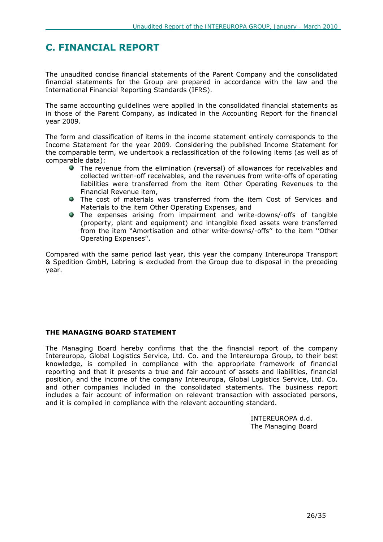# **C. FINANCIAL REPORT**

The unaudited concise financial statements of the Parent Company and the consolidated financial statements for the Group are prepared in accordance with the law and the International Financial Reporting Standards (IFRS).

The same accounting guidelines were applied in the consolidated financial statements as in those of the Parent Company, as indicated in the Accounting Report for the financial year 2009.

The form and classification of items in the income statement entirely corresponds to the Income Statement for the year 2009. Considering the published Income Statement for the comparable term, we undertook a reclassification of the following items (as well as of comparable data):

- The revenue from the elimination (reversal) of allowances for receivables and collected written-off receivables, and the revenues from write-offs of operating liabilities were transferred from the item Other Operating Revenues to the Financial Revenue item,
- The cost of materials was transferred from the item Cost of Services and Materials to the item Other Operating Expenses, and
- The expenses arising from impairment and write-downs/-offs of tangible (property, plant and equipment) and intangible fixed assets were transferred from the item "Amortisation and other write-downs/-offs'' to the item ''Other Operating Expenses''.

Compared with the same period last year, this year the company Intereuropa Transport & Spedition GmbH, Lebring is excluded from the Group due to disposal in the preceding year.

### **THE MANAGING BOARD STATEMENT**

The Managing Board hereby confirms that the the financial report of the company Intereuropa, Global Logistics Service, Ltd. Co. and the Intereuropa Group, to their best knowledge, is compiled in compliance with the appropriate framework of financial reporting and that it presents a true and fair account of assets and liabilities, financial position, and the income of the company Intereuropa, Global Logistics Service, Ltd. Co. and other companies included in the consolidated statements. The business report includes a fair account of information on relevant transaction with associated persons, and it is compiled in compliance with the relevant accounting standard.

> INTEREUROPA d.d. The Managing Board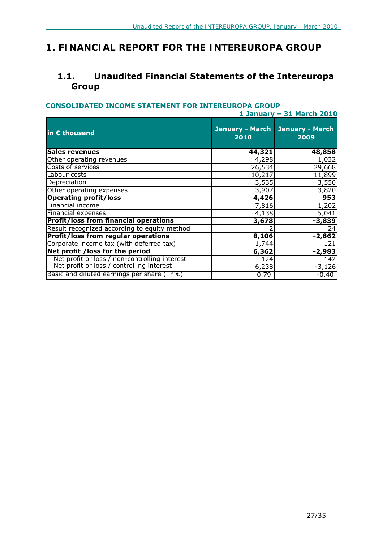# *1. FINANCIAL REPORT FOR THE INTEREUROPA GROUP*

# **1.1. Unaudited Financial Statements of the Intereuropa Group**

### **CONSOLIDATED INCOME STATEMENT FOR INTEREUROPA GROUP**

|                                                       | 1 January - 31 March 2010      |                                |  |  |  |
|-------------------------------------------------------|--------------------------------|--------------------------------|--|--|--|
| in € thousand                                         | <b>January - March</b><br>2010 | <b>January - March</b><br>2009 |  |  |  |
| <b>Sales revenues</b>                                 | 44,321                         | 48,858                         |  |  |  |
| Other operating revenues                              | 4,298                          | 1,032                          |  |  |  |
| Costs of services                                     | 26,534                         | 29,668                         |  |  |  |
| Labour costs                                          | 10,217                         | 11,899                         |  |  |  |
| Depreciation                                          | 3,535                          | 3,550                          |  |  |  |
| Other operating expenses                              | 3,907                          | 3,820                          |  |  |  |
| <b>Operating profit/loss</b>                          | 4,426                          | 953                            |  |  |  |
| Financial income                                      | 7,816                          | 1,202                          |  |  |  |
| Financial expenses                                    | 4,138                          | 5,041                          |  |  |  |
| <b>Profit/loss from financial operations</b>          | 3,678                          | $-3,839$                       |  |  |  |
| Result recognized according to equity method          |                                | 24                             |  |  |  |
| <b>Profit/loss from regular operations</b>            | 8,106                          | $-2,862$                       |  |  |  |
| Corporate income tax (with deferred tax)              | 1,744                          | 121                            |  |  |  |
| Net profit /loss for the period                       | 6,362                          | $-2,983$                       |  |  |  |
| Net profit or loss / non-controlling interest         | 124                            | 142                            |  |  |  |
| Net profit or loss / controlling interest             | 6,238                          | $-3,126$                       |  |  |  |
| Basic and diluted earnings per share (in $\epsilon$ ) | 0.79                           | $-0.40$                        |  |  |  |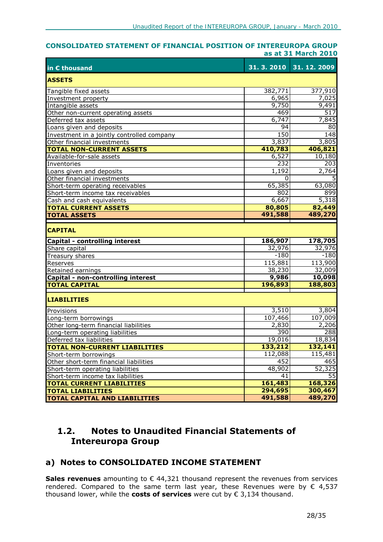#### **CONSOLIDATED STATEMENT OF FINANCIAL POSITION OF INTEREUROPA GROUP as at 31 March 2010**

| in € thousand                              |          | 31. 3. 2010 31. 12. 2009 |
|--------------------------------------------|----------|--------------------------|
| <b>ASSETS</b>                              |          |                          |
| Tangible fixed assets                      | 382,771  | 377,910                  |
| Investment property                        | 6,965    | 7,025                    |
| Intangible assets                          | 9,750    | 9,491                    |
| Other non-current operating assets         | 469      | 517                      |
| Deferred tax assets                        | 6,747    | 7,845                    |
| Loans given and deposits                   | 94       | 80                       |
| Investment in a jointly controlled company | 150      | 148                      |
| Other financial investments                | 3,837    | 3,805                    |
| <b>TOTAL NON-CURRENT ASSETS</b>            | 410,783  | 406,821                  |
| Available-for-sale assets                  | 6,527    | 10,180                   |
| Inventories                                | 232      | 203                      |
| Loans given and deposits                   | 1,192    | 2,764                    |
| Other financial investments                | $\Omega$ |                          |
| Short-term operating receivables           | 65,385   | 63,080                   |
| Short-term income tax receivables          | 802      | 899                      |
| Cash and cash equivalents                  | 6,667    | 5,318                    |
| <b>TOTAL CURRENT ASSETS</b>                | 80,805   | 82,449                   |
| <b>TOTAL ASSETS</b>                        | 491,588  | 489,270                  |
| <b>CAPITAL</b>                             |          |                          |
| Capital - controlling interest             | 186,907  | 178,705                  |
| Share capital                              | 32,976   | 32,976                   |
| Treasury shares                            | $-180$   | $-180$                   |
| Reserves                                   | 115,881  | 113,900                  |
| Retained earnings                          | 38,230   | 32,009                   |
| Capital - non-controlling interest         | 9,986    | 10,098                   |
| <b>TOTAL CAPITAL</b>                       | 196,893  | 188,803                  |
| <b>LIABILITIES</b>                         |          |                          |
| Provisions                                 | 3,510    | 3,804                    |
| Long-term borrowings                       | 107,466  | 107,009                  |
| Other long-term financial liabilities      | 2,830    | 2,206                    |
| Long-term operating liabilities            | 390      | 288                      |
| Deferred tax liabilities                   | 19,016   | 18,834                   |
| <b>TOTAL NON-CURRENT LIABILITIES</b>       | 133,212  | 132,141                  |
| Short-term borrowings                      | 112,088  | 115,481                  |
| Other short-term financial liabilities     | 452      | 465                      |
| Short-term operating liabilities           | 48,902   | 52,325                   |
| Short-term income tax liabilities          | 41       | $\overline{55}$          |
| <b>TOTAL CURRENT LIABILITIES</b>           | 161,483  | 168,326                  |
| <b>TOTAL LIABILITIES</b>                   | 294,695  | 300,467                  |
| <b>TOTAL CAPITAL AND LIABILITIES</b>       | 491,588  | 489,270                  |

# **1.2. Notes to Unaudited Financial Statements of Intereuropa Group**

# **a) Notes to CONSOLIDATED INCOME STATEMENT**

**Sales revenues** amounting to € 44,321 thousand represent the revenues from services rendered. Compared to the same term last year, these Revenues were by  $\epsilon$  4,537 thousand lower, while the **costs of services** were cut by € 3,134 thousand.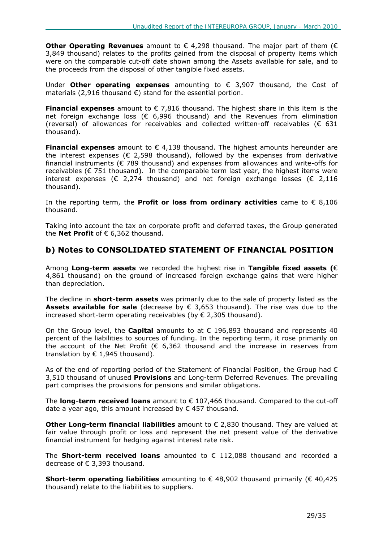**Other Operating Revenues** amount to € 4,298 thousand. The major part of them (€ 3,849 thousand) relates to the profits gained from the disposal of property items which were on the comparable cut-off date shown among the Assets available for sale, and to the proceeds from the disposal of other tangible fixed assets.

Under **Other operating expenses** amounting to € 3,907 thousand, the Cost of materials (2,916 thousand  $\epsilon$ ) stand for the essential portion.

**Financial expenses** amount to € 7,816 thousand. The highest share in this item is the net foreign exchange loss ( $\epsilon$  6,996 thousand) and the Revenues from elimination (reversal) of allowances for receivables and collected written-off receivables ( $\epsilon$  631 thousand).

**Financial expenses** amount to € 4,138 thousand. The highest amounts hereunder are the interest expenses ( $\epsilon$  2,598 thousand), followed by the expenses from derivative financial instruments ( $\epsilon$  789 thousand) and expenses from allowances and write-offs for receivables ( $\epsilon$  751 thousand). In the comparable term last year, the highest items were interest expenses ( $\epsilon$  2,274 thousand) and net foreign exchange losses ( $\epsilon$  2,116 thousand).

In the reporting term, the **Profit or loss from ordinary activities** came to € 8,106 thousand.

Taking into account the tax on corporate profit and deferred taxes, the Group generated the **Net Profit** of € 6,362 thousand.

### **b) Notes to CONSOLIDATED STATEMENT OF FINANCIAL POSITION**

Among **Long-term assets** we recorded the highest rise in **Tangible fixed assets (**€ 4,861 thousand) on the ground of increased foreign exchange gains that were higher than depreciation.

The decline in **short-term assets** was primarily due to the sale of property listed as the **Assets available for sale** (decrease by € 3,653 thousand). The rise was due to the increased short-term operating receivables (by  $\epsilon$  2,305 thousand).

On the Group level, the **Capital** amounts to at € 196,893 thousand and represents 40 percent of the liabilities to sources of funding. In the reporting term, it rose primarily on the account of the Net Profit ( $\epsilon$  6,362 thousand and the increase in reserves from translation by  $\epsilon$  1,945 thousand).

As of the end of reporting period of the Statement of Financial Position, the Group had  $\epsilon$ 3,510 thousand of unused **Provisions** and Long-term Deferred Revenues. The prevailing part comprises the provisions for pensions and similar obligations.

The **long-term received loans** amount to € 107,466 thousand. Compared to the cut-off date a year ago, this amount increased by  $\epsilon$  457 thousand.

**Other Long-term financial liabilities** amount to € 2.830 thousand. They are valued at fair value through profit or loss and represent the net present value of the derivative financial instrument for hedging against interest rate risk.

The **Short-term received loans** amounted to € 112,088 thousand and recorded a decrease of € 3,393 thousand.

**Short-term operating liabilities** amounting to € 48,902 thousand primarily (€ 40,425 thousand) relate to the liabilities to suppliers.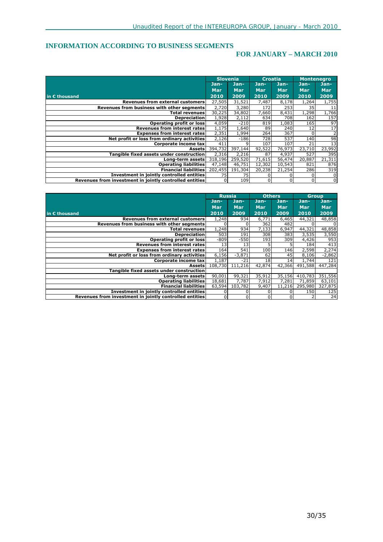### **INFORMATION ACCORDING TO BUSINESS SEGMENTS**

### **FOR JANUARY – MARCH 2010**

|                                                         | <b>Slovenia</b> |         | <b>Croatia</b> |            | <b>Montenegro</b> |            |
|---------------------------------------------------------|-----------------|---------|----------------|------------|-------------------|------------|
|                                                         | Jan-            | Jan-    | Jan-           | Jan-       | Jan-,             | Jan-       |
|                                                         | <b>Mar</b>      | Mar     | <b>Mar</b>     | <b>Mar</b> | <b>Mar</b>        | <b>Mar</b> |
| in $\varepsilon$ thousand                               | 2010            | 2009    | 2010           | 2009       | 2010              | 2009       |
| <b>Revenues from external customers</b>                 | 27,505          | 31,521  | 7,487          | 8,178      | 1,264             | 1,755      |
| Revenues from business with other segments              | 2,720           | 3,280   | 172            | 253        | 35                | 11         |
| <b>Total revenues</b>                                   | 30,225          | 34,802  | 7,660          | 8,431      | 1,298             | 1,766      |
| <b>Depreciation</b>                                     | 1,928           | 2,112   | 634            | 708        | 162               | 157        |
| Operating profit or loss                                | 4,059           | $-210$  | 819            | 1,083      | 165               | 97         |
| <b>Revenues from interest rates</b>                     | 1,175           | 1,640   | 89             | 240        | 12                | 17         |
| <b>Expenses from interest rates</b>                     | 2,351           | 1,994   | 264            | 367        | <sup>0</sup>      | 2          |
| Net profit or loss from ordinary activities             | 2,126           | $-186$  | 728            | 537        | 140               | 98         |
| Corporate income tax                                    | 411             |         | 107            | 107        | 21                | 13         |
| <b>Assets</b>                                           | 394,732         | 397,144 | 92,522         | 76,973     | 23,710            | 23,992     |
| Tangible fixed assets under construction                | 2,316           | 2,216   | 87             | 4,937      | 527               | 395        |
| Long-term assets                                        | 318,196         | 259,520 | 71,615         | 56,474     | 20,887            | 21,311     |
| <b>Operating liabilities</b>                            | 47,148          | 46,751  | 12,302         | 10,543     | 821               | 876        |
| <b>Financial liabilities</b>                            | 202,455         | 191,304 | 20,238         | 21,254     | 286               | 319        |
| Investment in jointly controlled entities               | 75              | 75      |                |            |                   | 0          |
| Revenues from investment in jointly controlled entities | $\Omega$        | 109     |                |            | $\Omega$          | $\Omega$   |

|                                                         | <b>Russia</b> |                | <b>Others</b> |            | <b>Group</b> |          |
|---------------------------------------------------------|---------------|----------------|---------------|------------|--------------|----------|
|                                                         | Jan-          | Jan-           | Jan-          | Jan-       | Jan-         | Jan-     |
|                                                         | Mar           | <b>Mar</b>     | <b>Mar</b>    | <b>Mar</b> | <b>Mar</b>   | Mar      |
| in € thousand                                           | 2010          | 2009           | 2010          | 2009       | 2010         | 2009     |
| Revenues from external customers                        | 1,248         | 934            | 6,771         | 6,465      | 44,321       | 48,858   |
| Revenues from business with other segments              |               |                | 362           | 482        |              | 0        |
| <b>Total revenues</b>                                   | 1,248         | 934            | 7,133         | 6,947      | 44,321       | 48,858   |
| <b>Depreciation</b>                                     | 503           | 191            | 308           | 383        | 3,535        | 3,550    |
| Operating profit or loss                                | $-809$        | $-550$         | 193           | 309        | 4,426        | 953      |
| Revenues from interest rates                            | 13            | 13             |               |            | 184          | 413      |
| <b>Expenses from interest rates</b>                     | 164           | 541            | 100           | 146        | 2,598        | 2,274    |
| Net profit or loss from ordinary activities             | 6,156         | $-3,871$       | 62            | 45         | 8,106        | $-2,862$ |
| Corporate income tax                                    | 1,187         | $-21$          | 18            | 14         | 1,744        | 121      |
| Assets                                                  | 108,730       | 111,216        | 42,874        | 42,366     | 491,588      | 447,284  |
| Tangible fixed assets under construction                |               |                |               |            |              |          |
| Long-term assets                                        | 90,001        | 99,321         | 35,912        | 35,156     | 410,783      | 351,556  |
| <b>Operating liabilities</b>                            | 18,681        | 7,787          | 7,912         | 7,281      | 71,859       | 63,101   |
| <b>Financial liabilities</b>                            | 63,594        | 103,782        | 9,407         | 11,216     | 295,980      | 327,875  |
| <b>Investment in jointly controlled entities</b>        |               |                |               |            | 150          | 125      |
| Revenues from investment in jointly controlled entities |               | $\overline{0}$ |               |            |              | 24       |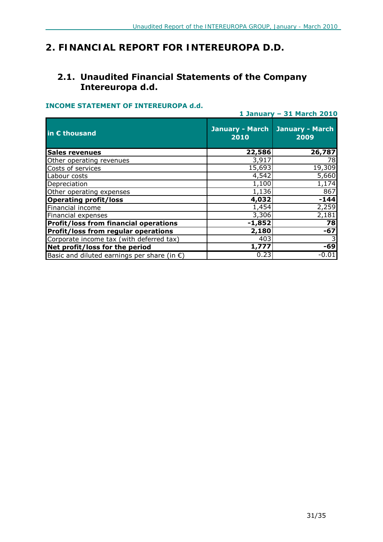# *2. FINANCIAL REPORT FOR INTEREUROPA D.D.*

### **2.1. Unaudited Financial Statements of the Company Intereuropa d.d.**

### **INCOME STATEMENT OF INTEREUROPA d.d.**

|                                                       | 1 January - 31 March 2010      |                                |  |  |
|-------------------------------------------------------|--------------------------------|--------------------------------|--|--|
| in € thousand                                         | <b>January - March</b><br>2010 | <b>January - March</b><br>2009 |  |  |
| <b>Sales revenues</b>                                 | 22,586                         | 26,787                         |  |  |
| Other operating revenues                              | 3,917                          | 78                             |  |  |
| Costs of services                                     | 15,693                         | 19,309                         |  |  |
| Labour costs                                          | 4,542                          | 5,660                          |  |  |
| Depreciation                                          | 1,100                          | 1,174                          |  |  |
| Other operating expenses                              | 1,136                          | 867                            |  |  |
| <b>Operating profit/loss</b>                          | 4,032                          | $-144$                         |  |  |
| Financial income                                      | 1,454                          | 2,259                          |  |  |
| Financial expenses                                    | 3,306                          | 2,181                          |  |  |
| <b>Profit/loss from financial operations</b>          | $-1,852$                       | 78                             |  |  |
| <b>Profit/loss from regular operations</b>            | 2,180                          | $-67$                          |  |  |
| Corporate income tax (with deferred tax)              | 403                            |                                |  |  |
| Net profit/loss for the period                        | 1,777                          | $-69$                          |  |  |
| Basic and diluted earnings per share (in $\epsilon$ ) | 0.23                           | $-0.01$                        |  |  |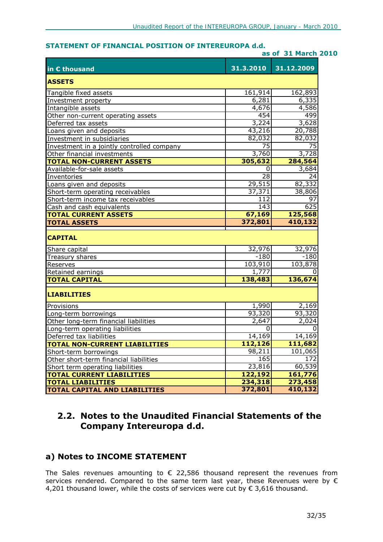### **STATEMENT OF FINANCIAL POSITION OF INTEREUROPA d.d.**

| as of 31 March 2010                        |           |            |
|--------------------------------------------|-----------|------------|
| in € thousand                              | 31.3.2010 | 31.12.2009 |
| <b>ASSETS</b>                              |           |            |
| Tangible fixed assets                      | 161,914   | 162,893    |
| Investment property                        | 6,281     | 6,335      |
| Intangible assets                          | 4,676     | 4,586      |
| Other non-current operating assets         | 454       | 499        |
| Deferred tax assets                        | 3,224     | 3,628      |
| Loans given and deposits                   | 43,216    | 20,788     |
| Investment in subsidiaries                 | 82,032    | 82,032     |
| Investment in a jointly controlled company | 75        | 75         |
| Other financial investments                | 3,760     | 3,728      |
| <b>TOTAL NON-CURRENT ASSETS</b>            | 305,632   | 284,564    |
| Available-for-sale assets                  | 0         | 3,684      |
| Inventories                                | 28        | 24         |
| Loans given and deposits                   | 29,515    | 82,332     |
| Short-term operating receivables           | 37,371    | 38,806     |
| Short-term income tax receivables          | 112       | 97         |
| Cash and cash equivalents                  | 143       | 625        |
| <b>TOTAL CURRENT ASSETS</b>                | 67,169    | 125,568    |
| <b>TOTAL ASSETS</b>                        | 372,801   | 410,132    |
| <b>CAPITAL</b>                             |           |            |
| Share capital                              | 32,976    | 32,976     |
| Treasury shares                            | $-180$    | $-180$     |
| Reserves                                   | 103,910   | 103,878    |
| Retained earnings                          | 1,777     |            |
| <b>TOTAL CAPITAL</b>                       | 138,483   | 136,674    |
| <b>LIABILITIES</b>                         |           |            |
| Provisions                                 | 1,990     | 2,169      |
| Long-term borrowings                       | 93,320    | 93,320     |
| Other long-term financial liabilities      | 2,647     | 2,024      |
| Long-term operating liabilities            | 0         | 0          |
| Deferred tax liabilities                   | 14,169    | 14,169     |
| <b>TOTAL NON-CURRENT LIABILITIES</b>       | 112,126   | 111,682    |
| Short-term borrowings                      | 98,211    | 101,065    |
| Other short-term financial liabilities     | 165       | 172        |
| Short term operating liabilities           | 23,816    | 60,539     |
| <b>TOTAL CURRENT LIABILITIES</b>           | 122,192   | 161,776    |
| <b>TOTAL LIABILITIES</b>                   | 234,318   | 273,458    |
| <b>TOTAL CAPITAL AND LIABILITIES</b>       | 372,801   | 410,132    |

### **2.2. Notes to the Unaudited Financial Statements of the Company Intereuropa d.d.**

# **a) Notes to INCOME STATEMENT**

The Sales revenues amounting to  $\epsilon$  22,586 thousand represent the revenues from services rendered. Compared to the same term last year, these Revenues were by € 4,201 thousand lower, while the costs of services were cut by  $\epsilon$  3,616 thousand.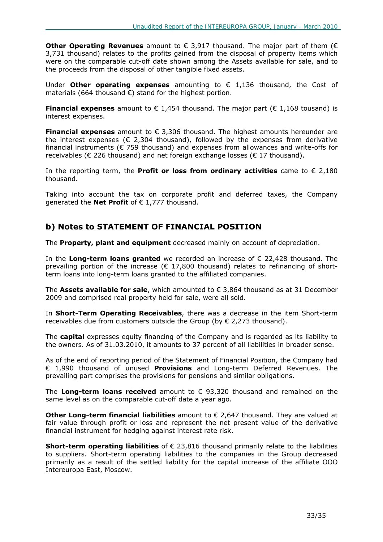**Other Operating Revenues** amount to € 3,917 thousand. The major part of them (€ 3,731 thousand) relates to the profits gained from the disposal of property items which were on the comparable cut-off date shown among the Assets available for sale, and to the proceeds from the disposal of other tangible fixed assets.

Under **Other operating expenses** amounting to € 1,136 thousand, the Cost of materials (664 thousand  $\epsilon$ ) stand for the highest portion.

**Financial expenses** amount to  $\epsilon$  1,454 thousand. The major part ( $\epsilon$  1,168 tousand) is interest expenses.

**Financial expenses** amount to € 3,306 thousand. The highest amounts hereunder are the interest expenses ( $\epsilon$  2,304 thousand), followed by the expenses from derivative financial instruments ( $\epsilon$  759 thousand) and expenses from allowances and write-offs for receivables ( $\epsilon$  226 thousand) and net foreign exchange losses ( $\epsilon$  17 thousand).

In the reporting term, the **Profit or loss from ordinary activities** came to  $\epsilon$  2,180 thousand.

Taking into account the tax on corporate profit and deferred taxes, the Company generated the **Net Profit** of € 1,777 thousand.

### **b) Notes to STATEMENT OF FINANCIAL POSITION**

The **Property, plant and equipment** decreased mainly on account of depreciation.

In the **Long-term loans granted** we recorded an increase of € 22,428 thousand. The prevailing portion of the increase ( $\epsilon$  17,800 thousand) relates to refinancing of shortterm loans into long-term loans granted to the affiliated companies.

The **Assets available for sale**, which amounted to € 3,864 thousand as at 31 December 2009 and comprised real property held for sale, were all sold.

In **Short-Term Operating Receivables**, there was a decrease in the item Short-term receivables due from customers outside the Group (by  $\epsilon$  2,273 thousand).

The **capital** expresses equity financing of the Company and is regarded as its liability to the owners. As of 31.03.2010, it amounts to 37 percent of all liabilities in broader sense.

As of the end of reporting period of the Statement of Financial Position, the Company had € 1,990 thousand of unused **Provisions** and Long-term Deferred Revenues. The prevailing part comprises the provisions for pensions and similar obligations.

The **Long-term loans received** amount to € 93,320 thousand and remained on the same level as on the comparable cut-off date a year ago.

**Other Long-term financial liabilities** amount to € 2,647 thousand. They are valued at fair value through profit or loss and represent the net present value of the derivative financial instrument for hedging against interest rate risk.

**Short-term operating liabilities** of € 23,816 thousand primarily relate to the liabilities to suppliers. Short-term operating liabilities to the companies in the Group decreased primarily as a result of the settled liability for the capital increase of the affiliate OOO Intereuropa East, Moscow.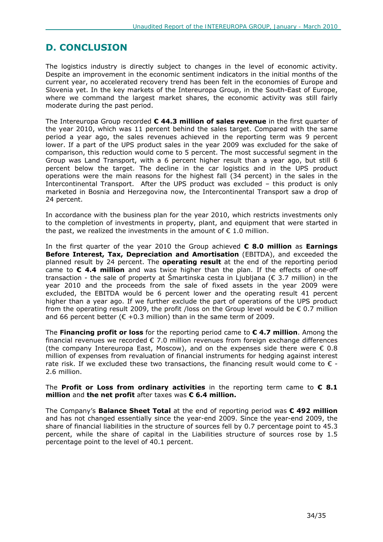# **D. CONCLUSION**

The logistics industry is directly subject to changes in the level of economic activity. Despite an improvement in the economic sentiment indicators in the initial months of the current year, no accelerated recovery trend has been felt in the economies of Europe and Slovenia yet. In the key markets of the Intereuropa Group, in the South-East of Europe, where we command the largest market shares, the economic activity was still fairly moderate during the past period.

The Intereuropa Group recorded **€ 44.3 million of sales revenue** in the first quarter of the year 2010, which was 11 percent behind the sales target. Compared with the same period a year ago, the sales revenues achieved in the reporting term was 9 percent lower. If a part of the UPS product sales in the year 2009 was excluded for the sake of comparison, this reduction would come to 5 percent. The most successful segment in the Group was Land Transport, with a 6 percent higher result than a year ago, but still 6 percent below the target. The decline in the car logistics and in the UPS product operations were the main reasons for the highest fall (34 percent) in the sales in the Intercontinental Transport. After the UPS product was excluded – this product is only marketed in Bosnia and Herzegovina now, the Intercontinental Transport saw a drop of 24 percent.

In accordance with the business plan for the year 2010, which restricts investments only to the completion of investments in property, plant, and equipment that were started in the past, we realized the investments in the amount of  $\epsilon$  1.0 million.

In the first quarter of the year 2010 the Group achieved **€ 8.0 million** as **Earnings Before Interest, Tax, Depreciation and Amortisation** (EBITDA), and exceeded the planned result by 24 percent. The **operating result** at the end of the reporting period came to **€ 4.4 million** and was twice higher than the plan. If the effects of one-off transaction - the sale of property at Šmartinska cesta in Ljubljana ( $\epsilon$  3.7 million) in the year 2010 and the proceeds from the sale of fixed assets in the year 2009 were excluded, the EBITDA would be 6 percent lower and the operating result 41 percent higher than a year ago. If we further exclude the part of operations of the UPS product from the operating result 2009, the profit /loss on the Group level would be  $\epsilon$  0.7 million and 66 percent better ( $\epsilon$  +0.3 million) than in the same term of 2009.

The **Financing profit or loss** for the reporting period came to **€ 4.7 million**. Among the financial revenues we recorded  $\epsilon$  7.0 million revenues from foreign exchange differences (the company Intereuropa East, Moscow), and on the expenses side there were  $\epsilon$  0.8 million of expenses from revaluation of financial instruments for hedging against interest rate risk. If we excluded these two transactions, the financing result would come to  $\epsilon$  -2.6 million.

#### The **Profit or Loss from ordinary activities** in the reporting term came to **€ 8.1 million** and **the net profit** after taxes was **€ 6.4 million.**

The Company's **Balance Sheet Total** at the end of reporting period was **€ 492 million** and has not changed essentially since the year-end 2009. Since the year-end 2009, the share of financial liabilities in the structure of sources fell by 0.7 percentage point to 45.3 percent, while the share of capital in the Liabilities structure of sources rose by 1.5 percentage point to the level of 40.1 percent.